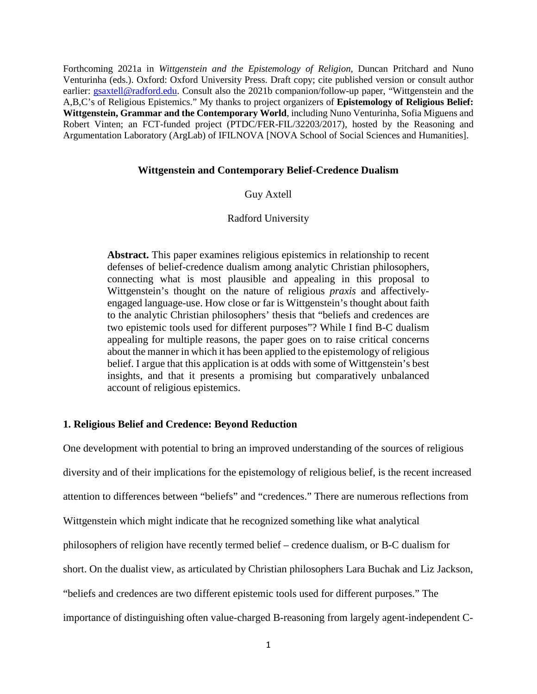Forthcoming 2021a in *Wittgenstein and the Epistemology of Religion,* Duncan Pritchard and Nuno Venturinha (eds.). Oxford: Oxford University Press. Draft copy; cite published version or consult author earlier: [gsaxtell@radford.edu.](mailto:gsaxtell@radford.edu) Consult also the 2021b companion/follow-up paper, "Wittgenstein and the A,B,C's of Religious Epistemics." My thanks to project organizers of **Epistemology of Religious Belief: Wittgenstein, Grammar and the Contemporary World**, including Nuno Venturinha, Sofia Miguens and Robert Vinten; an FCT-funded project (PTDC/FER-FIL/32203/2017), hosted by the Reasoning and Argumentation Laboratory (ArgLab) of IFILNOVA [NOVA School of Social Sciences and Humanities].

#### **Wittgenstein and Contemporary Belief-Credence Dualism**

# Guy Axtell

## Radford University

**Abstract.** This paper examines religious epistemics in relationship to recent defenses of belief-credence dualism among analytic Christian philosophers, connecting what is most plausible and appealing in this proposal to Wittgenstein's thought on the nature of religious *praxis* and affectivelyengaged language-use. How close or far is Wittgenstein's thought about faith to the analytic Christian philosophers' thesis that "beliefs and credences are two epistemic tools used for different purposes"? While I find B-C dualism appealing for multiple reasons, the paper goes on to raise critical concerns about the manner in which it has been applied to the epistemology of religious belief. I argue that this application is at odds with some of Wittgenstein's best insights, and that it presents a promising but comparatively unbalanced account of religious epistemics.

### **1. Religious Belief and Credence: Beyond Reduction**

One development with potential to bring an improved understanding of the sources of religious diversity and of their implications for the epistemology of religious belief, is the recent increased attention to differences between "beliefs" and "credences." There are numerous reflections from Wittgenstein which might indicate that he recognized something like what analytical philosophers of religion have recently termed belief – credence dualism, or B-C dualism for short. On the dualist view, as articulated by Christian philosophers Lara Buchak and Liz Jackson, "beliefs and credences are two different epistemic tools used for different purposes." The importance of distinguishing often value-charged B-reasoning from largely agent-independent C-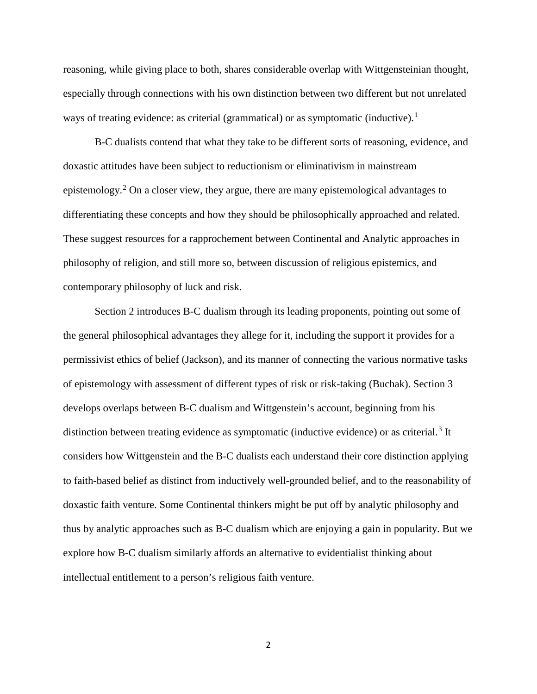reasoning, while giving place to both, shares considerable overlap with Wittgensteinian thought, especially through connections with his own distinction between two different but not unrelated ways of treating evidence: as criterial (grammatical) or as symptomatic (inductive).<sup>[1](#page-1-0)</sup>

B-C dualists contend that what they take to be different sorts of reasoning, evidence, and doxastic attitudes have been subject to reductionism or eliminativism in mainstream epistemology. [2](#page-1-1) On a closer view, they argue, there are many epistemological advantages to differentiating these concepts and how they should be philosophically approached and related. These suggest resources for a rapprochement between Continental and Analytic approaches in philosophy of religion, and still more so, between discussion of religious epistemics, and contemporary philosophy of luck and risk.

<span id="page-1-1"></span><span id="page-1-0"></span>Section 2 introduces B-C dualism through its leading proponents, pointing out some of the general philosophical advantages they allege for it, including the support it provides for a permissivist ethics of belief (Jackson), and its manner of connecting the various normative tasks of epistemology with assessment of different types of risk or risk-taking (Buchak). Section 3 develops overlaps between B-C dualism and Wittgenstein's account, beginning from his distinction between treating evidence as symptomatic (inductive evidence) or as criterial.<sup>[3](#page-2-0)</sup> It considers how Wittgenstein and the B-C dualists each understand their core distinction applying to faith-based belief as distinct from inductively well-grounded belief, and to the reasonability of doxastic faith venture. Some Continental thinkers might be put off by analytic philosophy and thus by analytic approaches such as B-C dualism which are enjoying a gain in popularity. But we explore how B-C dualism similarly affords an alternative to evidentialist thinking about intellectual entitlement to a person's religious faith venture.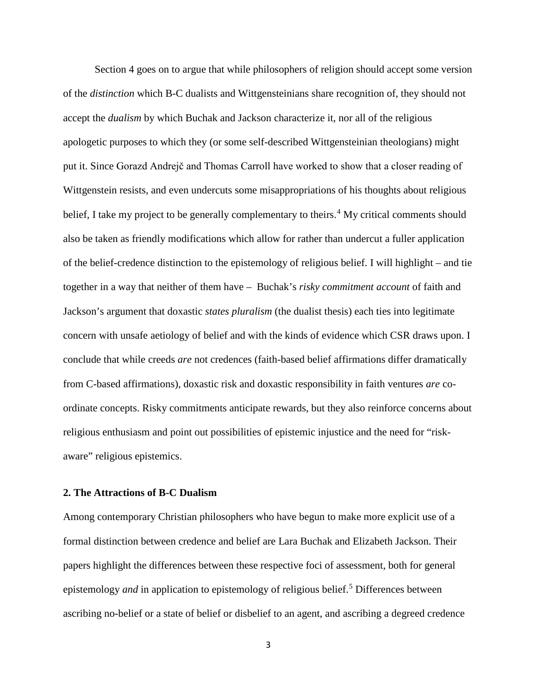Section 4 goes on to argue that while philosophers of religion should accept some version of the *distinction* which B-C dualists and Wittgensteinians share recognition of, they should not accept the *dualism* by which Buchak and Jackson characterize it, nor all of the religious apologetic purposes to which they (or some self-described Wittgensteinian theologians) might put it. Since Gorazd Andrejč and Thomas Carroll have worked to show that a closer reading of Wittgenstein resists, and even undercuts some misappropriations of his thoughts about religious belief, I take my project to be generally complementary to theirs.<sup>[4](#page-2-1)</sup> My critical comments should also be taken as friendly modifications which allow for rather than undercut a fuller application of the belief-credence distinction to the epistemology of religious belief. I will highlight – and tie together in a way that neither of them have – Buchak's *risky commitment account* of faith and Jackson's argument that doxastic *states pluralism* (the dualist thesis) each ties into legitimate concern with unsafe aetiology of belief and with the kinds of evidence which CSR draws upon. I conclude that while creeds *are* not credences (faith-based belief affirmations differ dramatically from C-based affirmations), doxastic risk and doxastic responsibility in faith ventures *are* coordinate concepts. Risky commitments anticipate rewards, but they also reinforce concerns about religious enthusiasm and point out possibilities of epistemic injustice and the need for "riskaware" religious epistemics.

### <span id="page-2-1"></span><span id="page-2-0"></span>**2. The Attractions of B-C Dualism**

<span id="page-2-2"></span>Among contemporary Christian philosophers who have begun to make more explicit use of a formal distinction between credence and belief are Lara Buchak and Elizabeth Jackson. Their papers highlight the differences between these respective foci of assessment, both for general epistemology *and* in application to epistemology of religious belief.<sup>[5](#page-2-2)</sup> Differences between ascribing no-belief or a state of belief or disbelief to an agent, and ascribing a degreed credence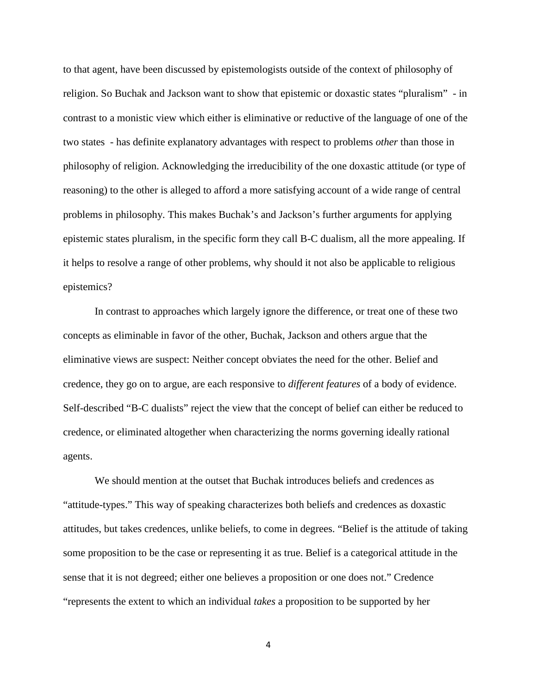to that agent, have been discussed by epistemologists outside of the context of philosophy of religion. So Buchak and Jackson want to show that epistemic or doxastic states "pluralism" - in contrast to a monistic view which either is eliminative or reductive of the language of one of the two states - has definite explanatory advantages with respect to problems *other* than those in philosophy of religion. Acknowledging the irreducibility of the one doxastic attitude (or type of reasoning) to the other is alleged to afford a more satisfying account of a wide range of central problems in philosophy. This makes Buchak's and Jackson's further arguments for applying epistemic states pluralism, in the specific form they call B-C dualism, all the more appealing. If it helps to resolve a range of other problems, why should it not also be applicable to religious epistemics?

<span id="page-3-0"></span>In contrast to approaches which largely ignore the difference, or treat one of these two concepts as eliminable in favor of the other, Buchak, Jackson and others argue that the eliminative views are suspect: Neither concept obviates the need for the other. Belief and credence, they go on to argue, are each responsive to *different features* of a body of evidence. Self-described "B-C dualists" reject the view that the concept of belief can either be reduced to credence, or eliminated altogether when characterizing the norms governing ideally rational agents.

<span id="page-3-1"></span>We should mention at the outset that Buchak introduces beliefs and credences as "attitude-types." This way of speaking characterizes both beliefs and credences as doxastic attitudes, but takes credences, unlike beliefs, to come in degrees. "Belief is the attitude of taking some proposition to be the case or representing it as true. Belief is a categorical attitude in the sense that it is not degreed; either one believes a proposition or one does not." Credence "represents the extent to which an individual *takes* a proposition to be supported by her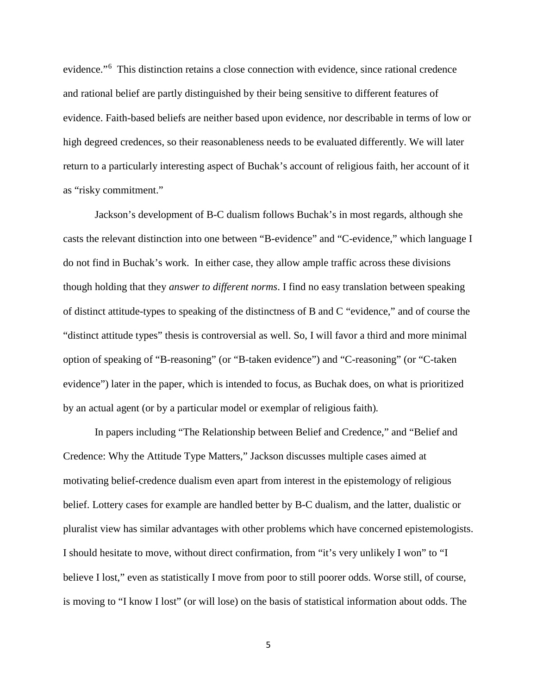evidence."[6](#page-3-0) This distinction retains a close connection with evidence, since rational credence and rational belief are partly distinguished by their being sensitive to different features of evidence. Faith-based beliefs are neither based upon evidence, nor describable in terms of low or high degreed credences, so their reasonableness needs to be evaluated differently. We will later return to a particularly interesting aspect of Buchak's account of religious faith, her account of it as "risky commitment."

<span id="page-4-3"></span><span id="page-4-2"></span><span id="page-4-1"></span><span id="page-4-0"></span>Jackson's development of B-C dualism follows Buchak's in most regards, although she casts the relevant distinction into one between "B-evidence" and "C-evidence," which language I do not find in Buchak's work. In either case, they allow ample traffic across these divisions though holding that they *answer to different norms*. I find no easy translation between speaking of distinct attitude-types to speaking of the distinctness of B and C "evidence," and of course the "distinct attitude types" thesis is controversial as well. So, I will favor a third and more minimal option of speaking of "B-reasoning" (or "B-taken evidence") and "C-reasoning" (or "C-taken evidence") later in the paper, which is intended to focus, as Buchak does, on what is prioritized by an actual agent (or by a particular model or exemplar of religious faith)*.*

<span id="page-4-5"></span><span id="page-4-4"></span>In papers including "The Relationship between Belief and Credence," and "Belief and Credence: Why the Attitude Type Matters," Jackson discusses multiple cases aimed at motivating belief-credence dualism even apart from interest in the epistemology of religious belief. Lottery cases for example are handled better by B-C dualism, and the latter, dualistic or pluralist view has similar advantages with other problems which have concerned epistemologists. I should hesitate to move, without direct confirmation, from "it's very unlikely I won" to "I believe I lost," even as statistically I move from poor to still poorer odds. Worse still, of course, is moving to "I know I lost" (or will lose) on the basis of statistical information about odds. The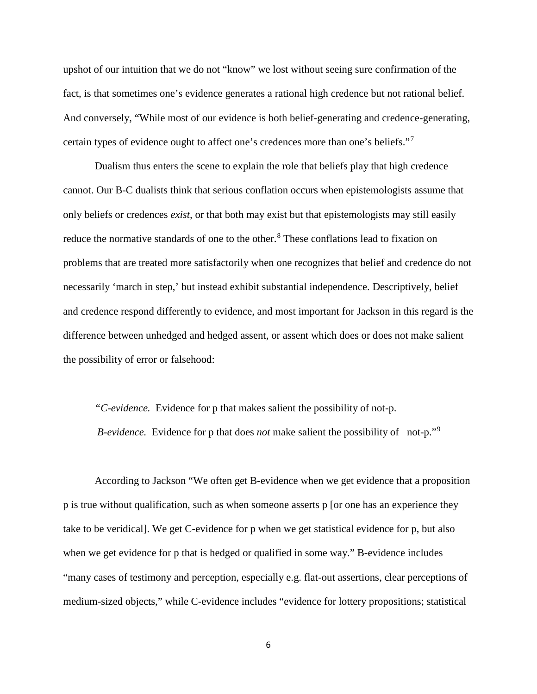upshot of our intuition that we do not "know" we lost without seeing sure confirmation of the fact, is that sometimes one's evidence generates a rational high credence but not rational belief. And conversely, "While most of our evidence is both belief-generating and credence-generating, certain types of evidence ought to affect one's credences more than one's beliefs."[7](#page-3-1)

<span id="page-5-0"></span>Dualism thus enters the scene to explain the role that beliefs play that high credence cannot. Our B-C dualists think that serious conflation occurs when epistemologists assume that only beliefs or credences *exist,* or that both may exist but that epistemologists may still easily reduce the normative standards of one to the other.<sup>[8](#page-4-0)</sup> These conflations lead to fixation on problems that are treated more satisfactorily when one recognizes that belief and credence do not necessarily 'march in step,' but instead exhibit substantial independence. Descriptively, belief and credence respond differently to evidence, and most important for Jackson in this regard is the difference between unhedged and hedged assent, or assent which does or does not make salient the possibility of error or falsehood:

*"C*-*evidence.* Evidence for p that makes salient the possibility of not-p. *B*-*evidence*. Evidence for p that does *not* make salient the possibility of not-p."<sup>[9](#page-4-1)</sup>

According to Jackson "We often get B-evidence when we get evidence that a proposition p is true without qualification, such as when someone asserts p [or one has an experience they take to be veridical]. We get C-evidence for p when we get statistical evidence for p, but also when we get evidence for p that is hedged or qualified in some way." B-evidence includes "many cases of testimony and perception, especially e.g. flat-out assertions, clear perceptions of medium-sized objects," while C-evidence includes "evidence for lottery propositions; statistical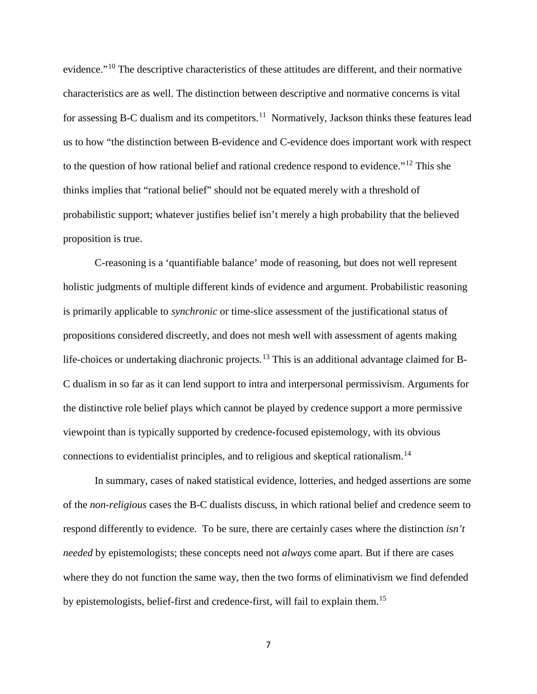evidence."[10](#page-4-2) The descriptive characteristics of these attitudes are different, and their normative characteristics are as well. The distinction between descriptive and normative concerns is vital for assessing B-C dualism and its competitors.<sup>11</sup> Normatively, Jackson thinks these features lead us to how "the distinction between B-evidence and C-evidence does important work with respect to the question of how rational belief and rational credence respond to evidence."[12](#page-4-4) This she thinks implies that "rational belief" should not be equated merely with a threshold of probabilistic support; whatever justifies belief isn't merely a high probability that the believed proposition is true.

<span id="page-6-0"></span>C-reasoning is a 'quantifiable balance' mode of reasoning, but does not well represent holistic judgments of multiple different kinds of evidence and argument. Probabilistic reasoning is primarily applicable to *synchronic* or time-slice assessment of the justificational status of propositions considered discreetly, and does not mesh well with assessment of agents making life-choices or undertaking diachronic projects.<sup>[13](#page-4-5)</sup> This is an additional advantage claimed for B-C dualism in so far as it can lend support to intra and interpersonal permissivism. Arguments for the distinctive role belief plays which cannot be played by credence support a more permissive viewpoint than is typically supported by credence-focused epistemology, with its obvious connections to evidentialist principles, and to religious and skeptical rationalism.[14](#page-5-0)

<span id="page-6-3"></span><span id="page-6-2"></span><span id="page-6-1"></span>In summary, cases of naked statistical evidence, lotteries, and hedged assertions are some of the *non-religious* cases the B-C dualists discuss, in which rational belief and credence seem to respond differently to evidence. To be sure, there are certainly cases where the distinction *isn't needed* by epistemologists; these concepts need not *always* come apart. But if there are cases where they do not function the same way, then the two forms of eliminativism we find defended by epistemologists, belief-first and credence-first, will fail to explain them.[15](#page-6-0)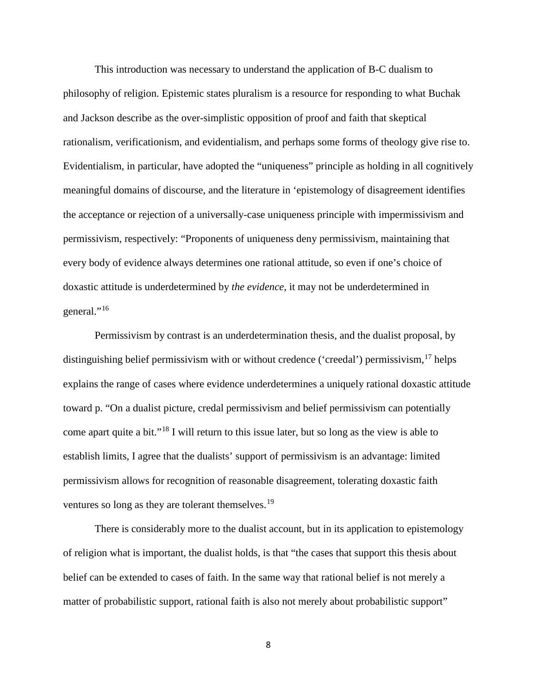<span id="page-7-0"></span>This introduction was necessary to understand the application of B-C dualism to philosophy of religion. Epistemic states pluralism is a resource for responding to what Buchak and Jackson describe as the over-simplistic opposition of proof and faith that skeptical rationalism, verificationism, and evidentialism, and perhaps some forms of theology give rise to. Evidentialism, in particular, have adopted the "uniqueness" principle as holding in all cognitively meaningful domains of discourse, and the literature in 'epistemology of disagreement identifies the acceptance or rejection of a universally-case uniqueness principle with impermissivism and permissivism, respectively: "Proponents of uniqueness deny permissivism, maintaining that every body of evidence always determines one rational attitude, so even if one's choice of doxastic attitude is underdetermined by *the evidence*, it may not be underdetermined in general."<sup>[16](#page-6-1)</sup>

Permissivism by contrast is an underdetermination thesis, and the dualist proposal, by distinguishing belief permissivism with or without credence ('creedal') permissivism,  $17$  helps explains the range of cases where evidence underdetermines a uniquely rational doxastic attitude toward p. "On a dualist picture, credal permissivism and belief permissivism can potentially come apart quite a bit."[18](#page-6-3) I will return to this issue later, but so long as the view is able to establish limits, I agree that the dualists' support of permissivism is an advantage: limited permissivism allows for recognition of reasonable disagreement, tolerating doxastic faith ventures so long as they are tolerant themselves.<sup>[19](#page-7-0)</sup>

<span id="page-7-3"></span><span id="page-7-2"></span><span id="page-7-1"></span>There is considerably more to the dualist account, but in its application to epistemology of religion what is important, the dualist holds, is that "the cases that support this thesis about belief can be extended to cases of faith. In the same way that rational belief is not merely a matter of probabilistic support, rational faith is also not merely about probabilistic support"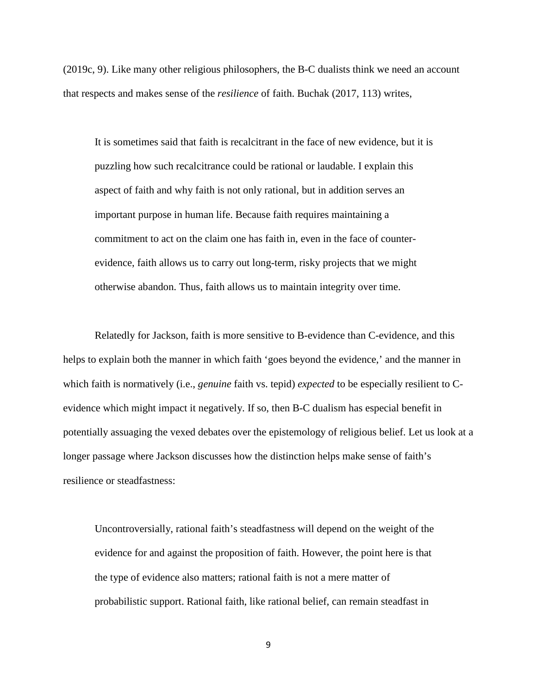(2019c, 9). Like many other religious philosophers, the B-C dualists think we need an account that respects and makes sense of the *resilience* of faith. Buchak (2017, 113) writes,

It is sometimes said that faith is recalcitrant in the face of new evidence, but it is puzzling how such recalcitrance could be rational or laudable. I explain this aspect of faith and why faith is not only rational, but in addition serves an important purpose in human life. Because faith requires maintaining a commitment to act on the claim one has faith in, even in the face of counterevidence, faith allows us to carry out long-term, risky projects that we might otherwise abandon. Thus, faith allows us to maintain integrity over time.

Relatedly for Jackson, faith is more sensitive to B-evidence than C-evidence, and this helps to explain both the manner in which faith 'goes beyond the evidence,' and the manner in which faith is normatively (i.e., *genuine* faith vs. tepid) *expected* to be especially resilient to Cevidence which might impact it negatively. If so, then B-C dualism has especial benefit in potentially assuaging the vexed debates over the epistemology of religious belief. Let us look at a longer passage where Jackson discusses how the distinction helps make sense of faith's resilience or steadfastness:

<span id="page-8-0"></span>Uncontroversially, rational faith's steadfastness will depend on the weight of the evidence for and against the proposition of faith. However, the point here is that the type of evidence also matters; rational faith is not a mere matter of probabilistic support. Rational faith, like rational belief, can remain steadfast in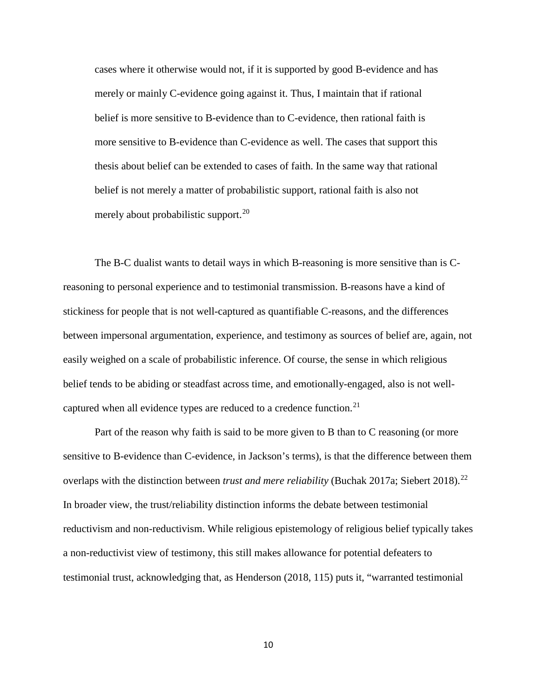cases where it otherwise would not, if it is supported by good B-evidence and has merely or mainly C-evidence going against it. Thus, I maintain that if rational belief is more sensitive to B-evidence than to C-evidence, then rational faith is more sensitive to B-evidence than C-evidence as well. The cases that support this thesis about belief can be extended to cases of faith. In the same way that rational belief is not merely a matter of probabilistic support, rational faith is also not merely about probabilistic support. $^{20}$  $^{20}$  $^{20}$ 

<span id="page-9-1"></span><span id="page-9-0"></span>The B-C dualist wants to detail ways in which B-reasoning is more sensitive than is Creasoning to personal experience and to testimonial transmission. B-reasons have a kind of stickiness for people that is not well-captured as quantifiable C-reasons, and the differences between impersonal argumentation, experience, and testimony as sources of belief are, again, not easily weighed on a scale of probabilistic inference. Of course, the sense in which religious belief tends to be abiding or steadfast across time, and emotionally-engaged, also is not well-captured when all evidence types are reduced to a credence function.<sup>[21](#page-7-2)</sup>

<span id="page-9-2"></span>Part of the reason why faith is said to be more given to B than to C reasoning (or more sensitive to B-evidence than C-evidence, in Jackson's terms), is that the difference between them overlaps with the distinction between *trust and mere reliability* (Buchak 2017a; Siebert 2018).<sup>[22](#page-7-3)</sup> In broader view, the trust/reliability distinction informs the debate between testimonial reductivism and non-reductivism. While religious epistemology of religious belief typically takes a non-reductivist view of testimony, this still makes allowance for potential defeaters to testimonial trust, acknowledging that, as Henderson (2018, 115) puts it, "warranted testimonial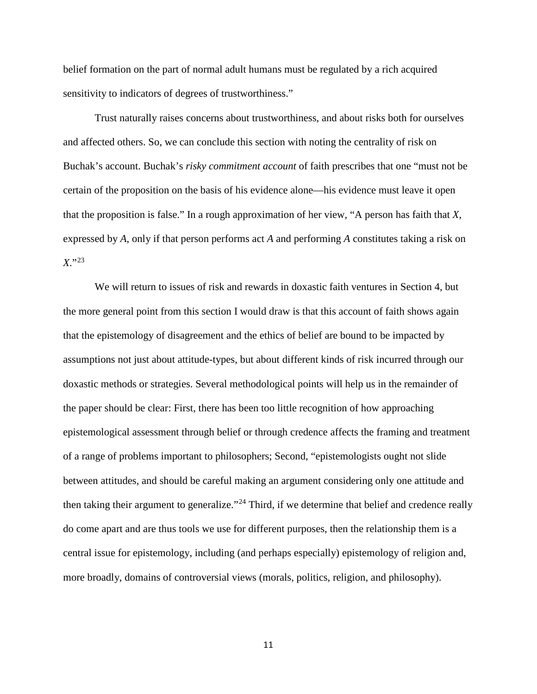belief formation on the part of normal adult humans must be regulated by a rich acquired sensitivity to indicators of degrees of trustworthiness."

<span id="page-10-0"></span>Trust naturally raises concerns about trustworthiness, and about risks both for ourselves and affected others. So, we can conclude this section with noting the centrality of risk on Buchak's account. Buchak's *risky commitment account* of faith prescribes that one "must not be certain of the proposition on the basis of his evidence alone—his evidence must leave it open that the proposition is false." In a rough approximation of her view, "A person has faith that *X*, expressed by *A*, only if that person performs act *A* and performing *A* constitutes taking a risk on *X*."[23](#page-8-0)

<span id="page-10-2"></span><span id="page-10-1"></span>We will return to issues of risk and rewards in doxastic faith ventures in Section 4, but the more general point from this section I would draw is that this account of faith shows again that the epistemology of disagreement and the ethics of belief are bound to be impacted by assumptions not just about attitude-types, but about different kinds of risk incurred through our doxastic methods or strategies. Several methodological points will help us in the remainder of the paper should be clear: First, there has been too little recognition of how approaching epistemological assessment through belief or through credence affects the framing and treatment of a range of problems important to philosophers; Second, "epistemologists ought not slide between attitudes, and should be careful making an argument considering only one attitude and then taking their argument to generalize."<sup>[24](#page-9-0)</sup> Third, if we determine that belief and credence really do come apart and are thus tools we use for different purposes, then the relationship them is a central issue for epistemology, including (and perhaps especially) epistemology of religion and, more broadly, domains of controversial views (morals, politics, religion, and philosophy).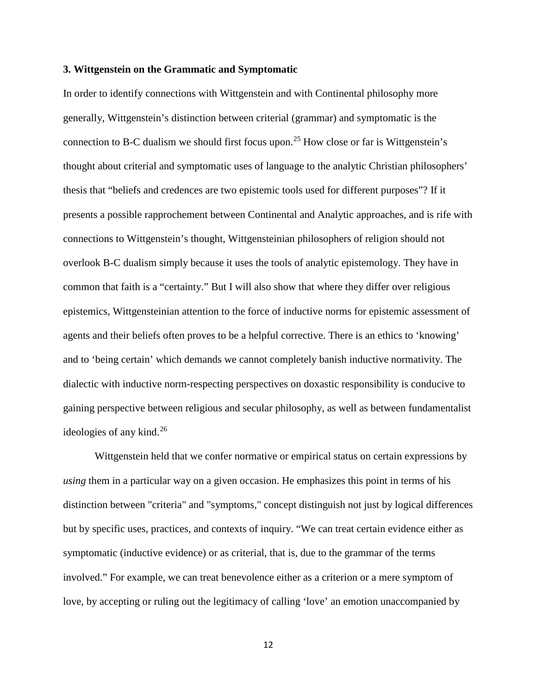#### <span id="page-11-0"></span>**3. Wittgenstein on the Grammatic and Symptomatic**

In order to identify connections with Wittgenstein and with Continental philosophy more generally, Wittgenstein's distinction between criterial (grammar) and symptomatic is the connection to B-C dualism we should first focus upon.<sup>[25](#page-9-1)</sup> How close or far is Wittgenstein's thought about criterial and symptomatic uses of language to the analytic Christian philosophers' thesis that "beliefs and credences are two epistemic tools used for different purposes"? If it presents a possible rapprochement between Continental and Analytic approaches, and is rife with connections to Wittgenstein's thought, Wittgensteinian philosophers of religion should not overlook B-C dualism simply because it uses the tools of analytic epistemology. They have in common that faith is a "certainty." But I will also show that where they differ over religious epistemics, Wittgensteinian attention to the force of inductive norms for epistemic assessment of agents and their beliefs often proves to be a helpful corrective. There is an ethics to 'knowing' and to 'being certain' which demands we cannot completely banish inductive normativity. The dialectic with inductive norm-respecting perspectives on doxastic responsibility is conducive to gaining perspective between religious and secular philosophy, as well as between fundamentalist ideologies of any kind. [26](#page-9-2)

<span id="page-11-1"></span>Wittgenstein held that we confer normative or empirical status on certain expressions by *using* them in a particular way on a given occasion. He emphasizes this point in terms of his distinction between "criteria" and "symptoms," concept distinguish not just by logical differences but by specific uses, practices, and contexts of inquiry. "We can treat certain evidence either as symptomatic (inductive evidence) or as criterial, that is, due to the grammar of the terms involved." For example, we can treat benevolence either as a criterion or a mere symptom of love, by accepting or ruling out the legitimacy of calling 'love' an emotion unaccompanied by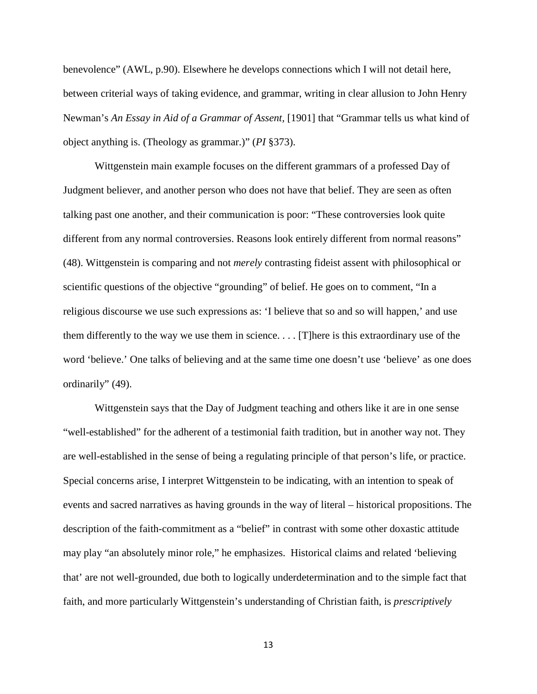benevolence" (AWL, p.90). Elsewhere he develops connections which I will not detail here, between criterial ways of taking evidence, and grammar, writing in clear allusion to John Henry Newman's *An Essay in Aid of a Grammar of Assent,* [1901] that "Grammar tells us what kind of object anything is. (Theology as grammar.)" (*PI* §373).

Wittgenstein main example focuses on the different grammars of a professed Day of Judgment believer, and another person who does not have that belief. They are seen as often talking past one another, and their communication is poor: "These controversies look quite different from any normal controversies. Reasons look entirely different from normal reasons" (48). Wittgenstein is comparing and not *merely* contrasting fideist assent with philosophical or scientific questions of the objective "grounding" of belief. He goes on to comment, "In a religious discourse we use such expressions as: 'I believe that so and so will happen,' and use them differently to the way we use them in science. . . . [T]here is this extraordinary use of the word 'believe.' One talks of believing and at the same time one doesn't use 'believe' as one does ordinarily" (49).

<span id="page-12-0"></span>Wittgenstein says that the Day of Judgment teaching and others like it are in one sense "well-established" for the adherent of a testimonial faith tradition, but in another way not. They are well-established in the sense of being a regulating principle of that person's life, or practice. Special concerns arise, I interpret Wittgenstein to be indicating, with an intention to speak of events and sacred narratives as having grounds in the way of literal – historical propositions. The description of the faith-commitment as a "belief" in contrast with some other doxastic attitude may play "an absolutely minor role," he emphasizes. Historical claims and related 'believing that' are not well-grounded, due both to logically underdetermination and to the simple fact that faith, and more particularly Wittgenstein's understanding of Christian faith, is *prescriptively*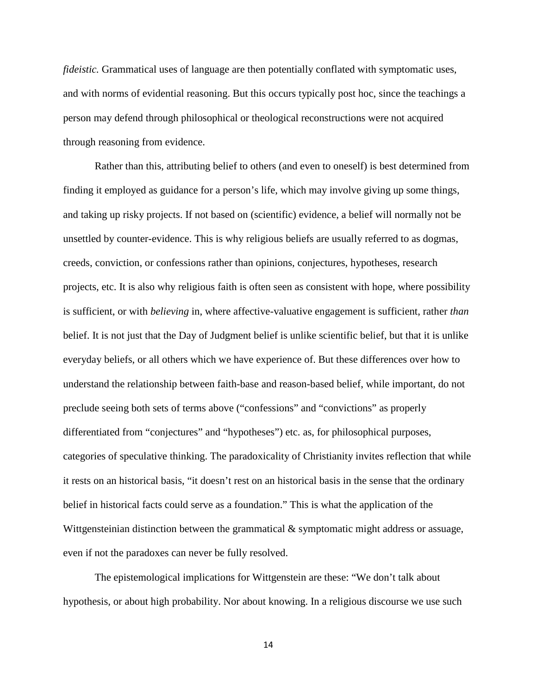<span id="page-13-0"></span>*fideistic.* Grammatical uses of language are then potentially conflated with symptomatic uses, and with norms of evidential reasoning. But this occurs typically post hoc, since the teachings a person may defend through philosophical or theological reconstructions were not acquired through reasoning from evidence.

<span id="page-13-1"></span>Rather than this, attributing belief to others (and even to oneself) is best determined from finding it employed as guidance for a person's life, which may involve giving up some things, and taking up risky projects. If not based on (scientific) evidence, a belief will normally not be unsettled by counter-evidence. This is why religious beliefs are usually referred to as dogmas, creeds, conviction, or confessions rather than opinions, conjectures, hypotheses, research projects, etc. It is also why religious faith is often seen as consistent with hope, where possibility is sufficient, or with *believing* in, where affective-valuative engagement is sufficient, rather *than*  belief. It is not just that the Day of Judgment belief is unlike scientific belief, but that it is unlike everyday beliefs, or all others which we have experience of. But these differences over how to understand the relationship between faith-base and reason-based belief, while important, do not preclude seeing both sets of terms above ("confessions" and "convictions" as properly differentiated from "conjectures" and "hypotheses") etc. as, for philosophical purposes, categories of speculative thinking. The paradoxicality of Christianity invites reflection that while it rests on an historical basis, "it doesn't rest on an historical basis in the sense that the ordinary belief in historical facts could serve as a foundation." This is what the application of the Wittgensteinian distinction between the grammatical & symptomatic might address or assuage, even if not the paradoxes can never be fully resolved.

<span id="page-13-2"></span>The epistemological implications for Wittgenstein are these: "We don't talk about hypothesis, or about high probability. Nor about knowing. In a religious discourse we use such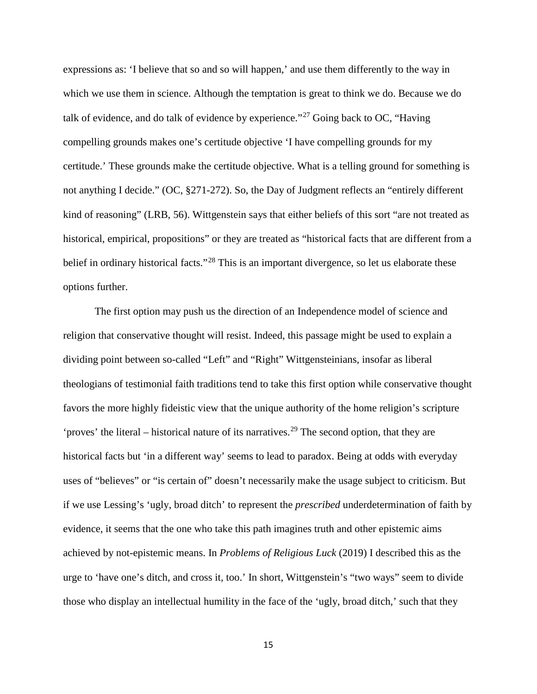<span id="page-14-0"></span>expressions as: 'I believe that so and so will happen,' and use them differently to the way in which we use them in science. Although the temptation is great to think we do. Because we do talk of evidence, and do talk of evidence by experience."[27](#page-10-0) Going back to OC, "Having compelling grounds makes one's certitude objective 'I have compelling grounds for my certitude.' These grounds make the certitude objective. What is a telling ground for something is not anything I decide." (OC, §271-272). So, the Day of Judgment reflects an "entirely different kind of reasoning" (LRB, 56). Wittgenstein says that either beliefs of this sort "are not treated as historical, empirical, propositions" or they are treated as "historical facts that are different from a belief in ordinary historical facts."<sup>[28](#page-10-1)</sup> This is an important divergence, so let us elaborate these options further.

<span id="page-14-1"></span>The first option may push us the direction of an Independence model of science and religion that conservative thought will resist. Indeed, this passage might be used to explain a dividing point between so-called "Left" and "Right" Wittgensteinians, insofar as liberal theologians of testimonial faith traditions tend to take this first option while conservative thought favors the more highly fideistic view that the unique authority of the home religion's scripture 'proves' the literal – historical nature of its narratives.<sup>[29](#page-10-2)</sup> The second option, that they are historical facts but 'in a different way' seems to lead to paradox. Being at odds with everyday uses of "believes" or "is certain of" doesn't necessarily make the usage subject to criticism. But if we use Lessing's 'ugly, broad ditch' to represent the *prescribed* underdetermination of faith by evidence, it seems that the one who take this path imagines truth and other epistemic aims achieved by not-epistemic means. In *Problems of Religious Luck* (2019) I described this as the urge to 'have one's ditch, and cross it, too.' In short, Wittgenstein's "two ways" seem to divide those who display an intellectual humility in the face of the 'ugly, broad ditch,' such that they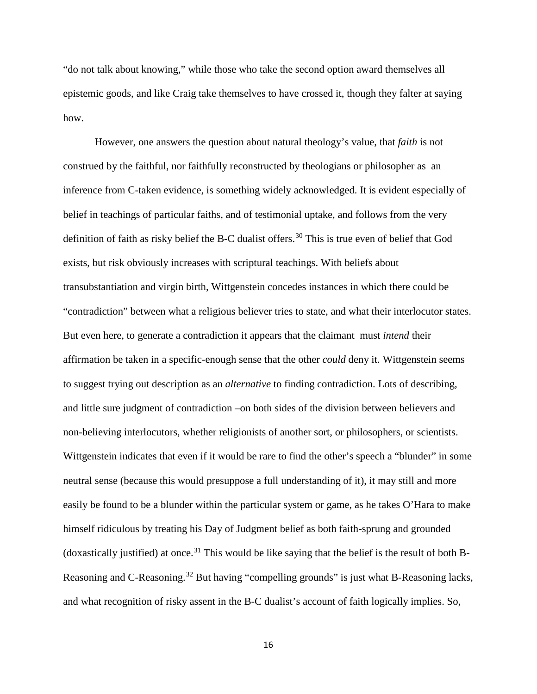"do not talk about knowing," while those who take the second option award themselves all epistemic goods, and like Craig take themselves to have crossed it, though they falter at saying how.

<span id="page-15-1"></span><span id="page-15-0"></span>However, one answers the question about natural theology's value, that *faith* is not construed by the faithful, nor faithfully reconstructed by theologians or philosopher as an inference from C-taken evidence, is something widely acknowledged. It is evident especially of belief in teachings of particular faiths, and of testimonial uptake, and follows from the very definition of faith as risky belief the B-C dualist offers. [30](#page-11-0) This is true even of belief that God exists, but risk obviously increases with scriptural teachings. With beliefs about transubstantiation and virgin birth, Wittgenstein concedes instances in which there could be "contradiction" between what a religious believer tries to state, and what their interlocutor states. But even here, to generate a contradiction it appears that the claimant must *intend* their affirmation be taken in a specific-enough sense that the other *could* deny it. Wittgenstein seems to suggest trying out description as an *alternative* to finding contradiction. Lots of describing, and little sure judgment of contradiction –on both sides of the division between believers and non-believing interlocutors, whether religionists of another sort, or philosophers, or scientists. Wittgenstein indicates that even if it would be rare to find the other's speech a "blunder" in some neutral sense (because this would presuppose a full understanding of it), it may still and more easily be found to be a blunder within the particular system or game, as he takes O'Hara to make himself ridiculous by treating his Day of Judgment belief as both faith-sprung and grounded (doxastically justified) at once. [31](#page-11-1) This would be like saying that the belief is the result of both B-Reasoning and C-Reasoning.<sup>[32](#page-12-0)</sup> But having "compelling grounds" is just what B-Reasoning lacks, and what recognition of risky assent in the B-C dualist's account of faith logically implies. So,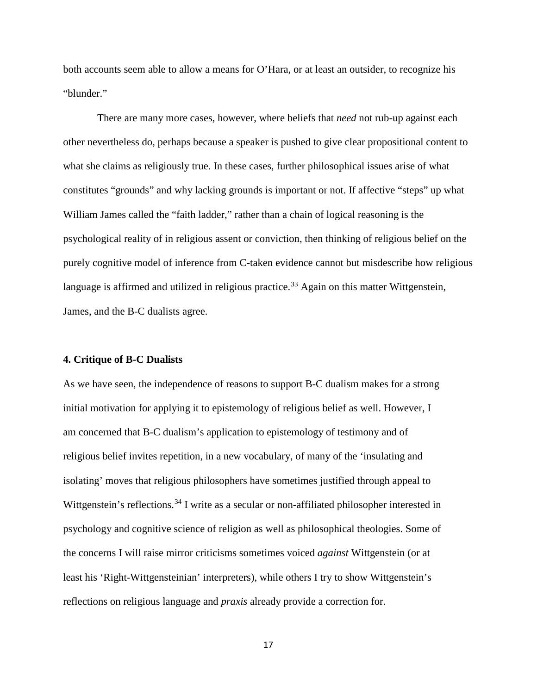both accounts seem able to allow a means for O'Hara, or at least an outsider, to recognize his "blunder."

There are many more cases, however, where beliefs that *need* not rub-up against each other nevertheless do, perhaps because a speaker is pushed to give clear propositional content to what she claims as religiously true. In these cases, further philosophical issues arise of what constitutes "grounds" and why lacking grounds is important or not. If affective "steps" up what William James called the "faith ladder," rather than a chain of logical reasoning is the psychological reality of in religious assent or conviction, then thinking of religious belief on the purely cognitive model of inference from C-taken evidence cannot but misdescribe how religious language is affirmed and utilized in religious practice.<sup>[33](#page-13-0)</sup> Again on this matter Wittgenstein, James, and the B-C dualists agree.

#### <span id="page-16-0"></span>**4. Critique of B-C Dualists**

As we have seen, the independence of reasons to support B-C dualism makes for a strong initial motivation for applying it to epistemology of religious belief as well. However, I am concerned that B-C dualism's application to epistemology of testimony and of religious belief invites repetition, in a new vocabulary, of many of the 'insulating and isolating' moves that religious philosophers have sometimes justified through appeal to Wittgenstein's reflections.<sup>[34](#page-13-1)</sup> I write as a secular or non-affiliated philosopher interested in psychology and cognitive science of religion as well as philosophical theologies. Some of the concerns I will raise mirror criticisms sometimes voiced *against* Wittgenstein (or at least his 'Right-Wittgensteinian' interpreters), while others I try to show Wittgenstein's reflections on religious language and *praxis* already provide a correction for.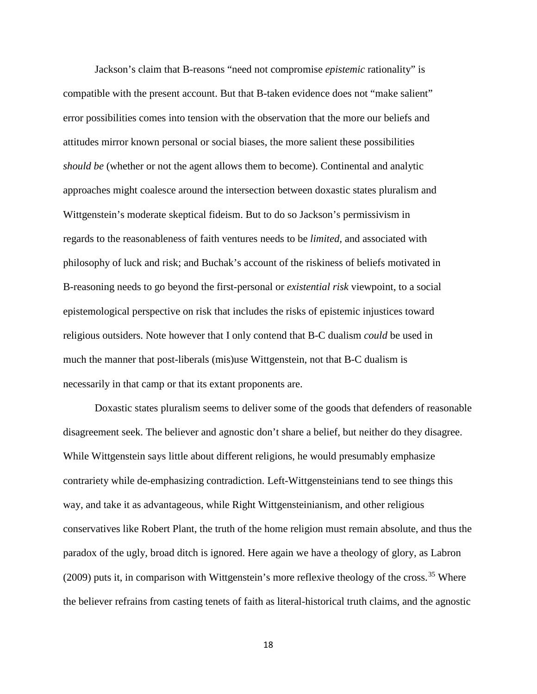<span id="page-17-0"></span>Jackson's claim that B-reasons "need not compromise *epistemic* rationality" is compatible with the present account. But that B-taken evidence does not "make salient" error possibilities comes into tension with the observation that the more our beliefs and attitudes mirror known personal or social biases, the more salient these possibilities *should be* (whether or not the agent allows them to become). Continental and analytic approaches might coalesce around the intersection between doxastic states pluralism and Wittgenstein's moderate skeptical fideism. But to do so Jackson's permissivism in regards to the reasonableness of faith ventures needs to be *limited,* and associated with philosophy of luck and risk; and Buchak's account of the riskiness of beliefs motivated in B-reasoning needs to go beyond the first-personal or *existential risk* viewpoint, to a social epistemological perspective on risk that includes the risks of epistemic injustices toward religious outsiders. Note however that I only contend that B-C dualism *could* be used in much the manner that post-liberals (mis)use Wittgenstein, not that B-C dualism is necessarily in that camp or that its extant proponents are.

<span id="page-17-1"></span>Doxastic states pluralism seems to deliver some of the goods that defenders of reasonable disagreement seek. The believer and agnostic don't share a belief, but neither do they disagree. While Wittgenstein says little about different religions, he would presumably emphasize contrariety while de-emphasizing contradiction. Left-Wittgensteinians tend to see things this way, and take it as advantageous, while Right Wittgensteinianism, and other religious conservatives like Robert Plant, the truth of the home religion must remain absolute, and thus the paradox of the ugly, broad ditch is ignored. Here again we have a theology of glory, as Labron (2009) puts it, in comparison with Wittgenstein's more reflexive theology of the cross.<sup>[35](#page-13-2)</sup> Where the believer refrains from casting tenets of faith as literal-historical truth claims, and the agnostic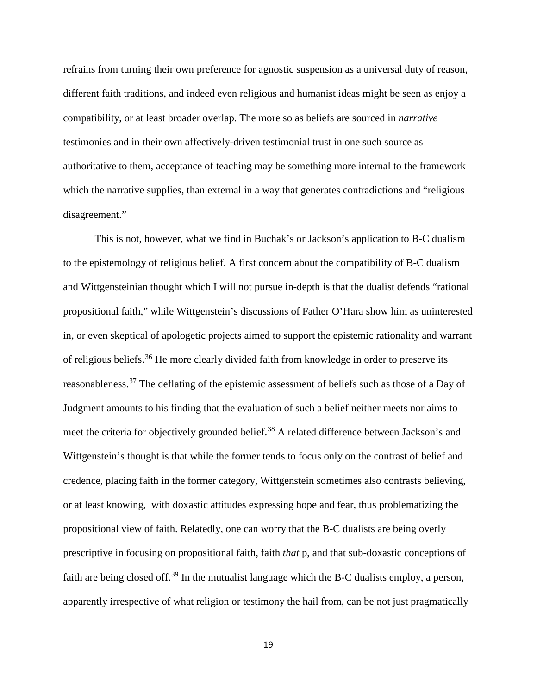refrains from turning their own preference for agnostic suspension as a universal duty of reason, different faith traditions, and indeed even religious and humanist ideas might be seen as enjoy a compatibility, or at least broader overlap. The more so as beliefs are sourced in *narrative* testimonies and in their own affectively-driven testimonial trust in one such source as authoritative to them, acceptance of teaching may be something more internal to the framework which the narrative supplies, than external in a way that generates contradictions and "religious" disagreement."

<span id="page-18-1"></span><span id="page-18-0"></span>This is not, however, what we find in Buchak's or Jackson's application to B-C dualism to the epistemology of religious belief. A first concern about the compatibility of B-C dualism and Wittgensteinian thought which I will not pursue in-depth is that the dualist defends "rational propositional faith," while Wittgenstein's discussions of Father O'Hara show him as uninterested in, or even skeptical of apologetic projects aimed to support the epistemic rationality and warrant of religious beliefs.[36](#page-14-0) He more clearly divided faith from knowledge in order to preserve its reasonableness.[37](#page-14-1) The deflating of the epistemic assessment of beliefs such as those of a Day of Judgment amounts to his finding that the evaluation of such a belief neither meets nor aims to meet the criteria for objectively grounded belief.<sup>[38](#page-15-0)</sup> A related difference between Jackson's and Wittgenstein's thought is that while the former tends to focus only on the contrast of belief and credence, placing faith in the former category, Wittgenstein sometimes also contrasts believing, or at least knowing, with doxastic attitudes expressing hope and fear, thus problematizing the propositional view of faith. Relatedly, one can worry that the B-C dualists are being overly prescriptive in focusing on propositional faith, faith *that* p, and that sub-doxastic conceptions of faith are being closed off.<sup>[39](#page-15-1)</sup> In the mutualist language which the B-C dualists employ, a person, apparently irrespective of what religion or testimony the hail from, can be not just pragmatically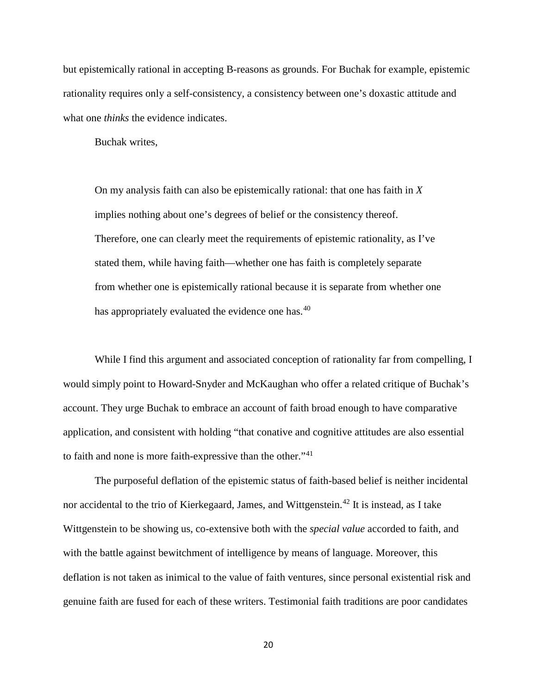<span id="page-19-0"></span>but epistemically rational in accepting B-reasons as grounds. For Buchak for example, epistemic rationality requires only a self-consistency, a consistency between one's doxastic attitude and what one *thinks* the evidence indicates.

Buchak writes,

On my analysis faith can also be epistemically rational: that one has faith in *X*  implies nothing about one's degrees of belief or the consistency thereof. Therefore, one can clearly meet the requirements of epistemic rationality, as I've stated them, while having faith—whether one has faith is completely separate from whether one is epistemically rational because it is separate from whether one has appropriately evaluated the evidence one has.<sup>[40](#page-16-0)</sup>

While I find this argument and associated conception of rationality far from compelling, I would simply point to Howard-Snyder and McKaughan who offer a related critique of Buchak's account. They urge Buchak to embrace an account of faith broad enough to have comparative application, and consistent with holding "that conative and cognitive attitudes are also essential to faith and none is more faith-expressive than the other."<sup>[41](#page-17-0)</sup>

<span id="page-19-1"></span>The purposeful deflation of the epistemic status of faith-based belief is neither incidental nor accidental to the trio of Kierkegaard, James, and Wittgenstein.<sup>[42](#page-17-1)</sup> It is instead, as I take Wittgenstein to be showing us, co-extensive both with the *special value* accorded to faith, and with the battle against bewitchment of intelligence by means of language. Moreover, this deflation is not taken as inimical to the value of faith ventures, since personal existential risk and genuine faith are fused for each of these writers. Testimonial faith traditions are poor candidates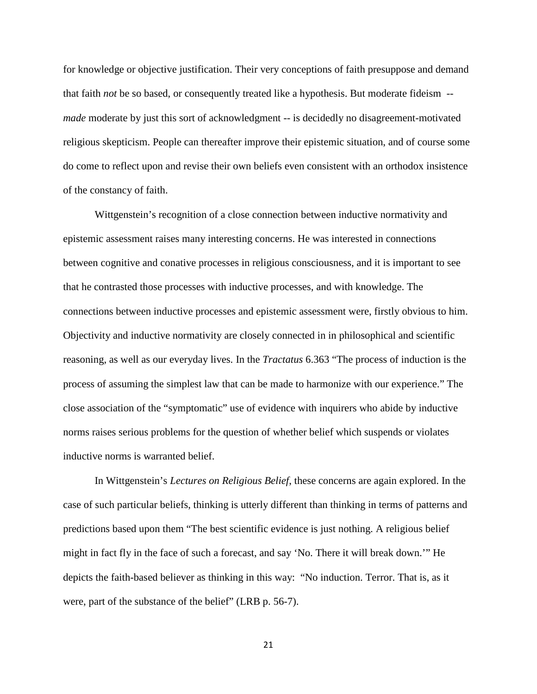for knowledge or objective justification. Their very conceptions of faith presuppose and demand that faith *not* be so based, or consequently treated like a hypothesis. But moderate fideism - *made* moderate by just this sort of acknowledgment -- is decidedly no disagreement-motivated religious skepticism. People can thereafter improve their epistemic situation, and of course some do come to reflect upon and revise their own beliefs even consistent with an orthodox insistence of the constancy of faith.

<span id="page-20-0"></span>Wittgenstein's recognition of a close connection between inductive normativity and epistemic assessment raises many interesting concerns. He was interested in connections between cognitive and conative processes in religious consciousness, and it is important to see that he contrasted those processes with inductive processes, and with knowledge. The connections between inductive processes and epistemic assessment were, firstly obvious to him. Objectivity and inductive normativity are closely connected in in philosophical and scientific reasoning, as well as our everyday lives. In the *Tractatus* 6.363 "The process of induction is the process of assuming the simplest law that can be made to harmonize with our experience." The close association of the "symptomatic" use of evidence with inquirers who abide by inductive norms raises serious problems for the question of whether belief which suspends or violates inductive norms is warranted belief.

<span id="page-20-1"></span>In Wittgenstein's *Lectures on Religious Belief*, these concerns are again explored. In the case of such particular beliefs, thinking is utterly different than thinking in terms of patterns and predictions based upon them "The best scientific evidence is just nothing. A religious belief might in fact fly in the face of such a forecast, and say 'No. There it will break down.'" He depicts the faith-based believer as thinking in this way: "No induction. Terror. That is, as it were, part of the substance of the belief" (LRB p. 56-7).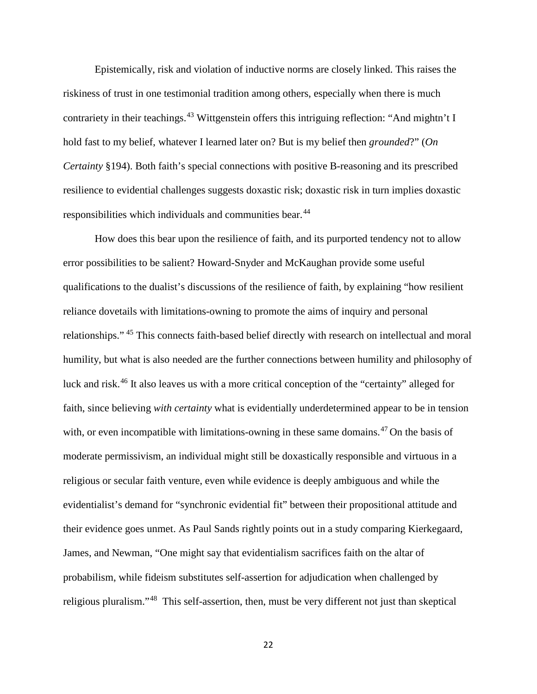Epistemically, risk and violation of inductive norms are closely linked. This raises the riskiness of trust in one testimonial tradition among others, especially when there is much contrariety in their teachings.<sup>[43](#page-18-0)</sup> Wittgenstein offers this intriguing reflection: "And mightn't I hold fast to my belief, whatever I learned later on? But is my belief then *grounded*?" (*On Certainty* §194). Both faith's special connections with positive B-reasoning and its prescribed resilience to evidential challenges suggests doxastic risk; doxastic risk in turn implies doxastic responsibilities which individuals and communities bear.<sup>[44](#page-18-1)</sup>

<span id="page-21-2"></span><span id="page-21-1"></span><span id="page-21-0"></span>How does this bear upon the resilience of faith, and its purported tendency not to allow error possibilities to be salient? Howard-Snyder and McKaughan provide some useful qualifications to the dualist's discussions of the resilience of faith, by explaining "how resilient reliance dovetails with limitations-owning to promote the aims of inquiry and personal relationships." [45](#page-19-0) This connects faith-based belief directly with research on intellectual and moral humility, but what is also needed are the further connections between humility and philosophy of luck and risk.[46](#page-19-1) It also leaves us with a more critical conception of the "certainty" alleged for faith, since believing *with certainty* what is evidentially underdetermined appear to be in tension with, or even incompatible with limitations-owning in these same domains.<sup>[47](#page-20-0)</sup> On the basis of moderate permissivism, an individual might still be doxastically responsible and virtuous in a religious or secular faith venture, even while evidence is deeply ambiguous and while the evidentialist's demand for "synchronic evidential fit" between their propositional attitude and their evidence goes unmet. As Paul Sands rightly points out in a study comparing Kierkegaard, James, and Newman, "One might say that evidentialism sacrifices faith on the altar of probabilism, while fideism substitutes self-assertion for adjudication when challenged by religious pluralism."[48](#page-20-1) This self-assertion, then, must be very different not just than skeptical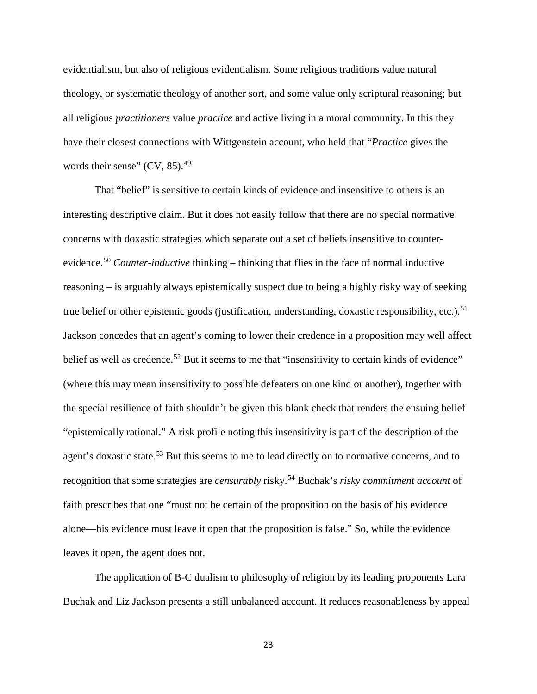evidentialism, but also of religious evidentialism. Some religious traditions value natural theology, or systematic theology of another sort, and some value only scriptural reasoning; but all religious *practitioners* value *practice* and active living in a moral community. In this they have their closest connections with Wittgenstein account, who held that "*Practice* gives the words their sense"  $(CV, 85)$ .<sup>[49](#page-21-0)</sup>

<span id="page-22-1"></span><span id="page-22-0"></span>That "belief" is sensitive to certain kinds of evidence and insensitive to others is an interesting descriptive claim. But it does not easily follow that there are no special normative concerns with doxastic strategies which separate out a set of beliefs insensitive to counterevidence.[50](#page-21-1) *Counter-inductive* thinking – thinking that flies in the face of normal inductive reasoning – is arguably always epistemically suspect due to being a highly risky way of seeking true belief or other epistemic goods (justification, understanding, doxastic responsibility, etc.).<sup>[51](#page-21-2)</sup> Jackson concedes that an agent's coming to lower their credence in a proposition may well affect belief as well as credence.<sup>[52](#page-22-0)</sup> But it seems to me that "insensitivity to certain kinds of evidence" (where this may mean insensitivity to possible defeaters on one kind or another), together with the special resilience of faith shouldn't be given this blank check that renders the ensuing belief "epistemically rational." A risk profile noting this insensitivity is part of the description of the agent's doxastic state.<sup>[53](#page-22-1)</sup> But this seems to me to lead directly on to normative concerns, and to recognition that some strategies are *censurably* risky.[54](#page-22-2) Buchak's *risky commitment account* of faith prescribes that one "must not be certain of the proposition on the basis of his evidence alone—his evidence must leave it open that the proposition is false." So, while the evidence leaves it open, the agent does not.

<span id="page-22-2"></span>The application of B-C dualism to philosophy of religion by its leading proponents Lara Buchak and Liz Jackson presents a still unbalanced account. It reduces reasonableness by appeal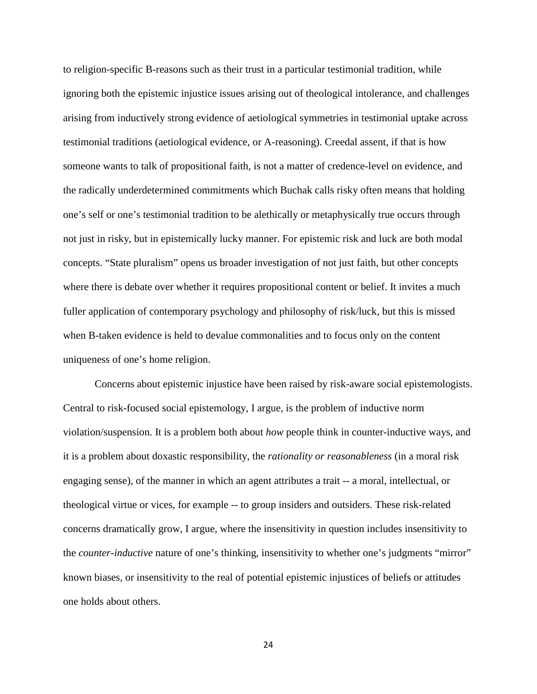<span id="page-23-1"></span><span id="page-23-0"></span>to religion-specific B-reasons such as their trust in a particular testimonial tradition, while ignoring both the epistemic injustice issues arising out of theological intolerance, and challenges arising from inductively strong evidence of aetiological symmetries in testimonial uptake across testimonial traditions (aetiological evidence, or A-reasoning). Creedal assent, if that is how someone wants to talk of propositional faith, is not a matter of credence-level on evidence, and the radically underdetermined commitments which Buchak calls risky often means that holding one's self or one's testimonial tradition to be alethically or metaphysically true occurs through not just in risky, but in epistemically lucky manner. For epistemic risk and luck are both modal concepts. "State pluralism" opens us broader investigation of not just faith, but other concepts where there is debate over whether it requires propositional content or belief. It invites a much fuller application of contemporary psychology and philosophy of risk/luck, but this is missed when B-taken evidence is held to devalue commonalities and to focus only on the content uniqueness of one's home religion.

<span id="page-23-3"></span><span id="page-23-2"></span>Concerns about epistemic injustice have been raised by risk-aware social epistemologists. Central to risk-focused social epistemology, I argue, is the problem of inductive norm violation/suspension. It is a problem both about *how* people think in counter-inductive ways, and it is a problem about doxastic responsibility, the *rationality or reasonableness* (in a moral risk engaging sense), of the manner in which an agent attributes a trait -- a moral, intellectual, or theological virtue or vices, for example -- to group insiders and outsiders. These risk-related concerns dramatically grow, I argue, where the insensitivity in question includes insensitivity to the *counter-inductive* nature of one's thinking, insensitivity to whether one's judgments "mirror" known biases, or insensitivity to the real of potential epistemic injustices of beliefs or attitudes one holds about others.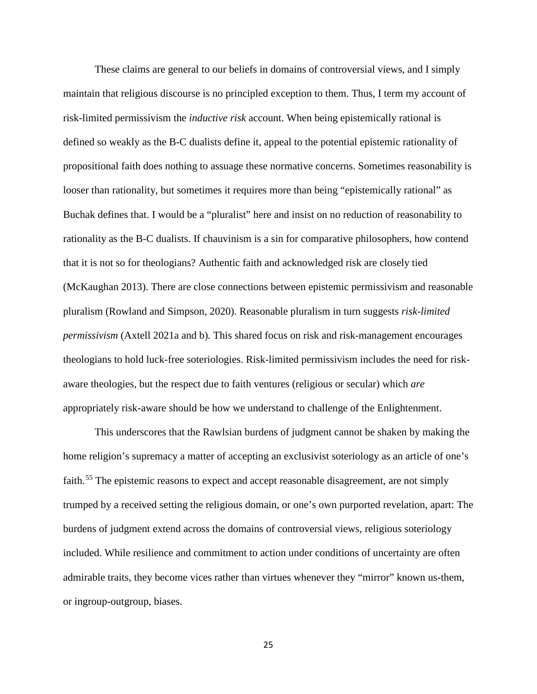These claims are general to our beliefs in domains of controversial views, and I simply maintain that religious discourse is no principled exception to them. Thus, I term my account of risk-limited permissivism the *inductive risk* account. When being epistemically rational is defined so weakly as the B-C dualists define it, appeal to the potential epistemic rationality of propositional faith does nothing to assuage these normative concerns. Sometimes reasonability is looser than rationality, but sometimes it requires more than being "epistemically rational" as Buchak defines that. I would be a "pluralist" here and insist on no reduction of reasonability to rationality as the B-C dualists. If chauvinism is a sin for comparative philosophers, how contend that it is not so for theologians? Authentic faith and acknowledged risk are closely tied (McKaughan 2013). There are close connections between epistemic permissivism and reasonable pluralism (Rowland and Simpson, 2020). Reasonable pluralism in turn suggests *risk-limited permissivism* (Axtell 2021a and b)*.* This shared focus on risk and risk-management encourages theologians to hold luck-free soteriologies. Risk-limited permissivism includes the need for riskaware theologies, but the respect due to faith ventures (religious or secular) which *are* appropriately risk-aware should be how we understand to challenge of the Enlightenment.

This underscores that the Rawlsian burdens of judgment cannot be shaken by making the home religion's supremacy a matter of accepting an exclusivist soteriology as an article of one's faith.<sup>[55](#page-23-0)</sup> The epistemic reasons to expect and accept reasonable disagreement, are not simply trumped by a received setting the religious domain, or one's own purported revelation, apart: The burdens of judgment extend across the domains of controversial views, religious soteriology included. While resilience and commitment to action under conditions of uncertainty are often admirable traits, they become vices rather than virtues whenever they "mirror" known us-them, or ingroup-outgroup, biases.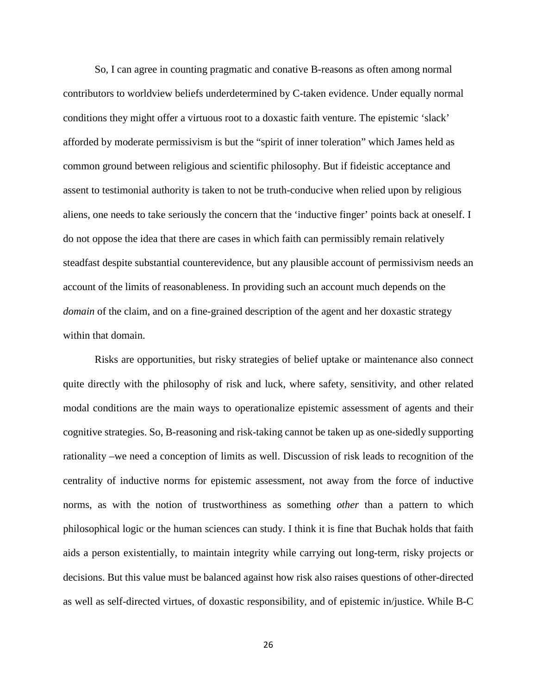So, I can agree in counting pragmatic and conative B-reasons as often among normal contributors to worldview beliefs underdetermined by C-taken evidence. Under equally normal conditions they might offer a virtuous root to a doxastic faith venture. The epistemic 'slack' afforded by moderate permissivism is but the "spirit of inner toleration" which James held as common ground between religious and scientific philosophy. But if fideistic acceptance and assent to testimonial authority is taken to not be truth-conducive when relied upon by religious aliens, one needs to take seriously the concern that the 'inductive finger' points back at oneself. I do not oppose the idea that there are cases in which faith can permissibly remain relatively steadfast despite substantial counterevidence, but any plausible account of permissivism needs an account of the limits of reasonableness. In providing such an account much depends on the *domain* of the claim, and on a fine-grained description of the agent and her doxastic strategy within that domain.

Risks are opportunities, but risky strategies of belief uptake or maintenance also connect quite directly with the philosophy of risk and luck, where safety, sensitivity, and other related modal conditions are the main ways to operationalize epistemic assessment of agents and their cognitive strategies. So, B-reasoning and risk-taking cannot be taken up as one-sidedly supporting rationality –we need a conception of limits as well. Discussion of risk leads to recognition of the centrality of inductive norms for epistemic assessment, not away from the force of inductive norms, as with the notion of trustworthiness as something *other* than a pattern to which philosophical logic or the human sciences can study. I think it is fine that Buchak holds that faith aids a person existentially, to maintain integrity while carrying out long-term, risky projects or decisions. But this value must be balanced against how risk also raises questions of other-directed as well as self-directed virtues, of doxastic responsibility, and of epistemic in/justice. While B-C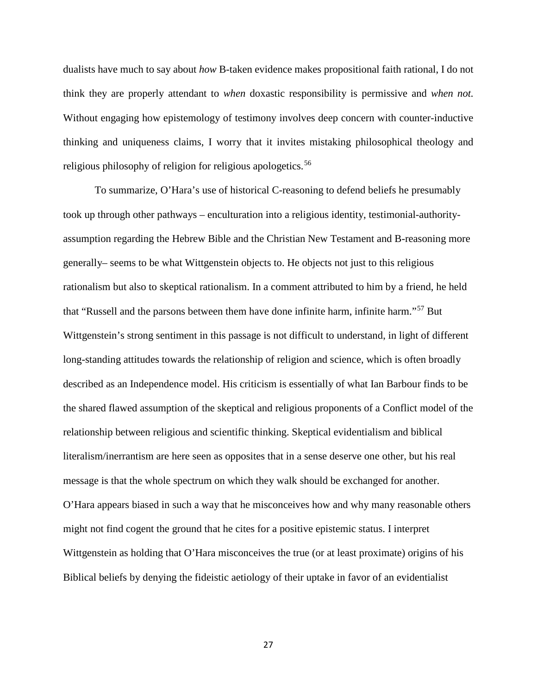dualists have much to say about *how* B-taken evidence makes propositional faith rational, I do not think they are properly attendant to *when* doxastic responsibility is permissive and *when not.*  Without engaging how epistemology of testimony involves deep concern with counter-inductive thinking and uniqueness claims, I worry that it invites mistaking philosophical theology and religious philosophy of religion for religious apologetics.<sup>[56](#page-23-1)</sup>

To summarize, O'Hara's use of historical C-reasoning to defend beliefs he presumably took up through other pathways – enculturation into a religious identity, testimonial-authorityassumption regarding the Hebrew Bible and the Christian New Testament and B-reasoning more generally– seems to be what Wittgenstein objects to. He objects not just to this religious rationalism but also to skeptical rationalism. In a comment attributed to him by a friend, he held that "Russell and the parsons between them have done infinite harm, infinite harm."[57](#page-23-2) But Wittgenstein's strong sentiment in this passage is not difficult to understand, in light of different long-standing attitudes towards the relationship of religion and science, which is often broadly described as an Independence model. His criticism is essentially of what Ian Barbour finds to be the shared flawed assumption of the skeptical and religious proponents of a Conflict model of the relationship between religious and scientific thinking. Skeptical evidentialism and biblical literalism/inerrantism are here seen as opposites that in a sense deserve one other, but his real message is that the whole spectrum on which they walk should be exchanged for another. O'Hara appears biased in such a way that he misconceives how and why many reasonable others might not find cogent the ground that he cites for a positive epistemic status. I interpret Wittgenstein as holding that O'Hara misconceives the true (or at least proximate) origins of his Biblical beliefs by denying the fideistic aetiology of their uptake in favor of an evidentialist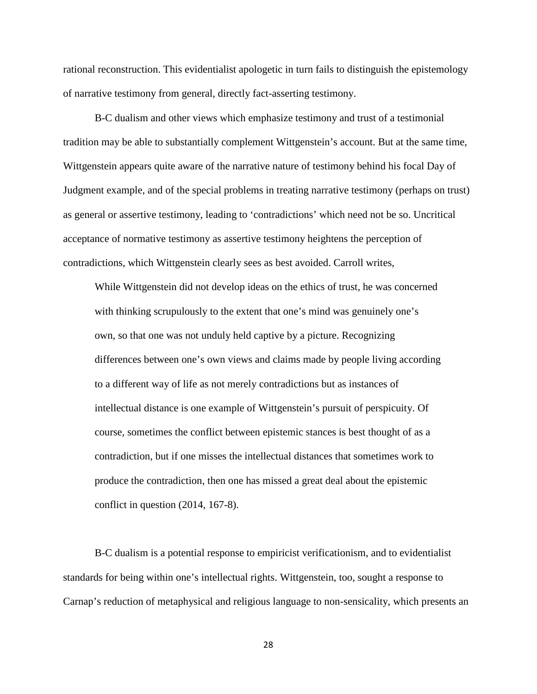rational reconstruction. This evidentialist apologetic in turn fails to distinguish the epistemology of narrative testimony from general, directly fact-asserting testimony.

B-C dualism and other views which emphasize testimony and trust of a testimonial tradition may be able to substantially complement Wittgenstein's account. But at the same time, Wittgenstein appears quite aware of the narrative nature of testimony behind his focal Day of Judgment example, and of the special problems in treating narrative testimony (perhaps on trust) as general or assertive testimony, leading to 'contradictions' which need not be so. Uncritical acceptance of normative testimony as assertive testimony heightens the perception of contradictions, which Wittgenstein clearly sees as best avoided. Carroll writes,

While Wittgenstein did not develop ideas on the ethics of trust, he was concerned with thinking scrupulously to the extent that one's mind was genuinely one's own, so that one was not unduly held captive by a picture. Recognizing differences between one's own views and claims made by people living according to a different way of life as not merely contradictions but as instances of intellectual distance is one example of Wittgenstein's pursuit of perspicuity. Of course, sometimes the conflict between epistemic stances is best thought of as a contradiction, but if one misses the intellectual distances that sometimes work to produce the contradiction, then one has missed a great deal about the epistemic conflict in question (2014, 167-8).

B-C dualism is a potential response to empiricist verificationism, and to evidentialist standards for being within one's intellectual rights. Wittgenstein, too, sought a response to Carnap's reduction of metaphysical and religious language to non-sensicality, which presents an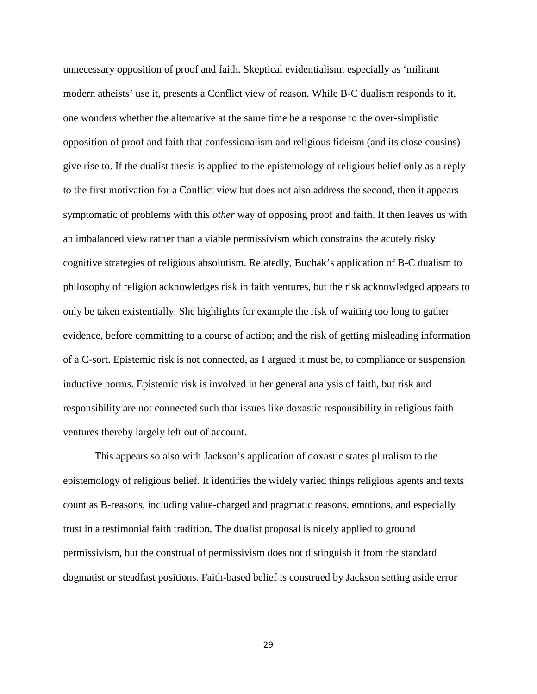unnecessary opposition of proof and faith. Skeptical evidentialism, especially as 'militant modern atheists' use it, presents a Conflict view of reason. While B-C dualism responds to it, one wonders whether the alternative at the same time be a response to the over-simplistic opposition of proof and faith that confessionalism and religious fideism (and its close cousins) give rise to. If the dualist thesis is applied to the epistemology of religious belief only as a reply to the first motivation for a Conflict view but does not also address the second, then it appears symptomatic of problems with this *other* way of opposing proof and faith. It then leaves us with an imbalanced view rather than a viable permissivism which constrains the acutely risky cognitive strategies of religious absolutism. Relatedly, Buchak's application of B-C dualism to philosophy of religion acknowledges risk in faith ventures, but the risk acknowledged appears to only be taken existentially. She highlights for example the risk of waiting too long to gather evidence, before committing to a course of action; and the risk of getting misleading information of a C-sort. Epistemic risk is not connected, as I argued it must be, to compliance or suspension inductive norms. Epistemic risk is involved in her general analysis of faith, but risk and responsibility are not connected such that issues like doxastic responsibility in religious faith ventures thereby largely left out of account.

This appears so also with Jackson's application of doxastic states pluralism to the epistemology of religious belief. It identifies the widely varied things religious agents and texts count as B-reasons, including value-charged and pragmatic reasons, emotions, and especially trust in a testimonial faith tradition. The dualist proposal is nicely applied to ground permissivism, but the construal of permissivism does not distinguish it from the standard dogmatist or steadfast positions. Faith-based belief is construed by Jackson setting aside error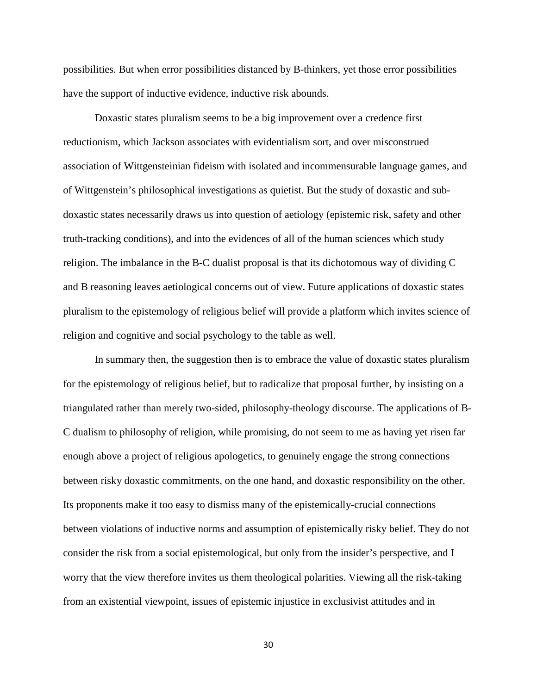possibilities. But when error possibilities distanced by B-thinkers, yet those error possibilities have the support of inductive evidence, inductive risk abounds.

Doxastic states pluralism seems to be a big improvement over a credence first reductionism, which Jackson associates with evidentialism sort, and over misconstrued association of Wittgensteinian fideism with isolated and incommensurable language games, and of Wittgenstein's philosophical investigations as quietist. But the study of doxastic and subdoxastic states necessarily draws us into question of aetiology (epistemic risk, safety and other truth-tracking conditions), and into the evidences of all of the human sciences which study religion. The imbalance in the B-C dualist proposal is that its dichotomous way of dividing C and B reasoning leaves aetiological concerns out of view. Future applications of doxastic states pluralism to the epistemology of religious belief will provide a platform which invites science of religion and cognitive and social psychology to the table as well.

In summary then, the suggestion then is to embrace the value of doxastic states pluralism for the epistemology of religious belief, but to radicalize that proposal further, by insisting on a triangulated rather than merely two-sided, philosophy-theology discourse. The applications of B-C dualism to philosophy of religion, while promising, do not seem to me as having yet risen far enough above a project of religious apologetics, to genuinely engage the strong connections between risky doxastic commitments, on the one hand, and doxastic responsibility on the other. Its proponents make it too easy to dismiss many of the epistemically-crucial connections between violations of inductive norms and assumption of epistemically risky belief. They do not consider the risk from a social epistemological, but only from the insider's perspective, and I worry that the view therefore invites us them theological polarities. Viewing all the risk-taking from an existential viewpoint, issues of epistemic injustice in exclusivist attitudes and in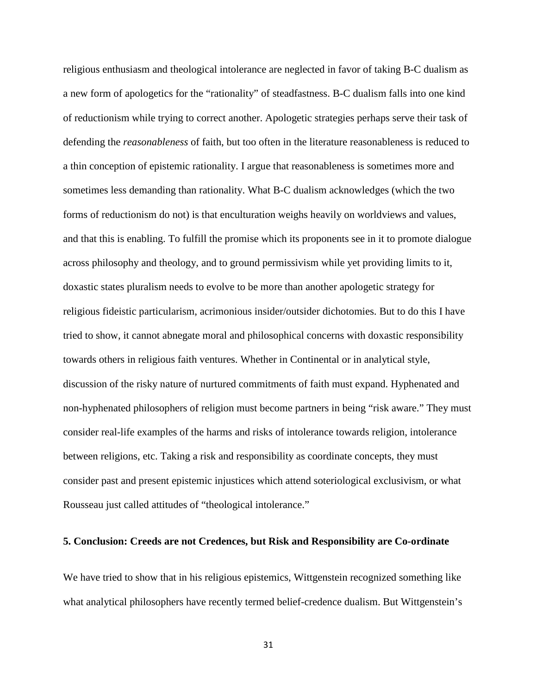religious enthusiasm and theological intolerance are neglected in favor of taking B-C dualism as a new form of apologetics for the "rationality" of steadfastness. B-C dualism falls into one kind of reductionism while trying to correct another. Apologetic strategies perhaps serve their task of defending the *reasonableness* of faith, but too often in the literature reasonableness is reduced to a thin conception of epistemic rationality. I argue that reasonableness is sometimes more and sometimes less demanding than rationality. What B-C dualism acknowledges (which the two forms of reductionism do not) is that enculturation weighs heavily on worldviews and values, and that this is enabling. To fulfill the promise which its proponents see in it to promote dialogue across philosophy and theology, and to ground permissivism while yet providing limits to it, doxastic states pluralism needs to evolve to be more than another apologetic strategy for religious fideistic particularism, acrimonious insider/outsider dichotomies. But to do this I have tried to show, it cannot abnegate moral and philosophical concerns with doxastic responsibility towards others in religious faith ventures. Whether in Continental or in analytical style, discussion of the risky nature of nurtured commitments of faith must expand. Hyphenated and non-hyphenated philosophers of religion must become partners in being "risk aware." They must consider real-life examples of the harms and risks of intolerance towards religion, intolerance between religions, etc. Taking a risk and responsibility as coordinate concepts, they must consider past and present epistemic injustices which attend soteriological exclusivism, or what Rousseau just called attitudes of "theological intolerance."

## **5. Conclusion: Creeds are not Credences, but Risk and Responsibility are Co-ordinate**

We have tried to show that in his religious epistemics, Wittgenstein recognized something like what analytical philosophers have recently termed belief-credence dualism. But Wittgenstein's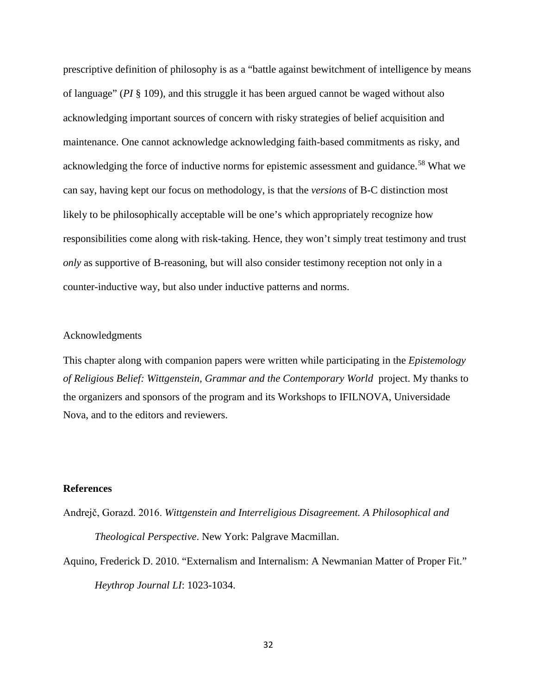prescriptive definition of philosophy is as a "battle against bewitchment of intelligence by means of language" (*PI* § 109), and this struggle it has been argued cannot be waged without also acknowledging important sources of concern with risky strategies of belief acquisition and maintenance. One cannot acknowledge acknowledging faith-based commitments as risky, and acknowledging the force of inductive norms for epistemic assessment and guidance.<sup>[58](#page-23-3)</sup> What we can say, having kept our focus on methodology, is that the *versions* of B-C distinction most likely to be philosophically acceptable will be one's which appropriately recognize how responsibilities come along with risk-taking. Hence, they won't simply treat testimony and trust *only* as supportive of B-reasoning, but will also consider testimony reception not only in a counter-inductive way, but also under inductive patterns and norms.

#### Acknowledgments

This chapter along with companion papers were written while participating in the *Epistemology of Religious Belief: Wittgenstein, Grammar and the Contemporary World* project. My thanks to the organizers and sponsors of the program and its Workshops to IFILNOVA, Universidade Nova, and to the editors and reviewers.

### **References**

Andrejč, Gorazd. 2016. *Wittgenstein and Interreligious Disagreement. A Philosophical and Theological Perspective*. New York: Palgrave Macmillan.

Aquino, Frederick D. 2010. "Externalism and Internalism: A Newmanian Matter of Proper Fit." *Heythrop Journal LI*: 1023-1034.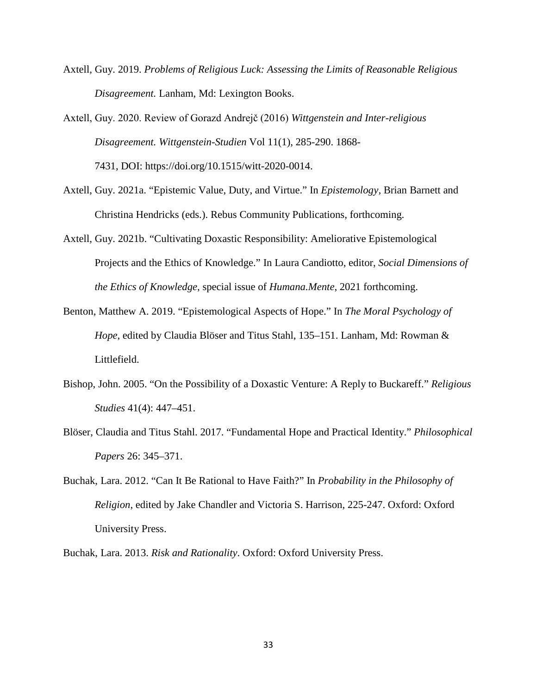Axtell, Guy. 2019. *Problems of Religious Luck: Assessing the Limits of Reasonable Religious Disagreement.* Lanham, Md: Lexington Books.

Axtell, Guy. 2020. Review of Gorazd Andrejč (2016) *Wittgenstein and Inter-religious Disagreement. Wittgenstein-Studien* Vol 11(1), 285-290. 1868- 7431, DOI: https://doi.org/10.1515/witt-2020-0014.

- Axtell, Guy. 2021a. "Epistemic Value, Duty, and Virtue." In *Epistemology,* Brian Barnett and Christina Hendricks (eds.). Rebus Community Publications, forthcoming.
- Axtell, Guy. 2021b. "Cultivating Doxastic Responsibility: Ameliorative Epistemological Projects and the Ethics of Knowledge." In Laura Candiotto, editor, *Social Dimensions of the Ethics of Knowledge,* special issue of *Humana.Mente*, 2021 forthcoming.
- Benton, Matthew A. 2019. "Epistemological Aspects of Hope." In *The Moral Psychology of Hope*, edited by Claudia Blöser and Titus Stahl, 135–151. Lanham, Md: Rowman & Littlefield.
- Bishop, John. 2005. "On the Possibility of a Doxastic Venture: A Reply to Buckareff." *Religious Studies* 41(4): 447–451.
- Blöser, Claudia and Titus Stahl. 2017. "Fundamental Hope and Practical Identity." *Philosophical Papers* 26: 345–371.
- Buchak, Lara. 2012. "Can It Be Rational to Have Faith?" In *Probability in the Philosophy of Religion*, edited by Jake Chandler and Victoria S. Harrison, 225-247. Oxford: Oxford University Press.

Buchak, Lara. 2013. *Risk and Rationality*. Oxford: Oxford University Press.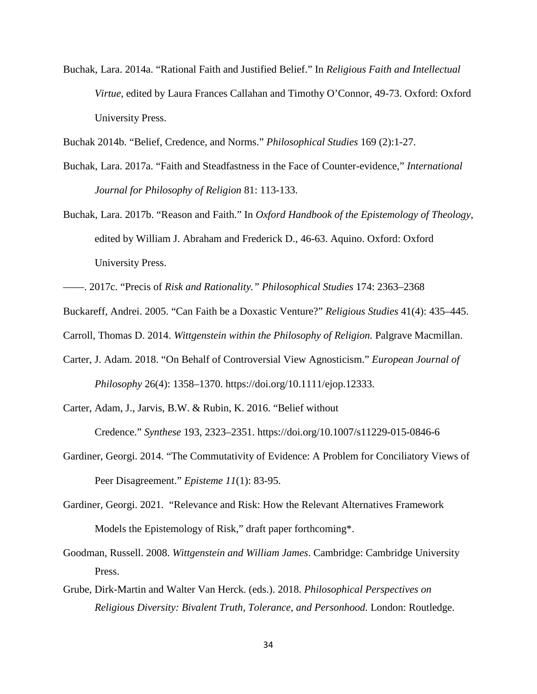Buchak, Lara. 2014a. "Rational Faith and Justified Belief." In *Religious Faith and Intellectual Virtue*, edited by Laura Frances Callahan and Timothy O'Connor, 49-73. Oxford: Oxford University Press.

Buchak 2014b. "Belief, Credence, and Norms." *Philosophical Studies* 169 (2):1-27.

- Buchak, Lara. 2017a. "Faith and Steadfastness in the Face of Counter-evidence," *International Journal for Philosophy of Religion* 81: 113-133.
- Buchak, Lara. 2017b. "Reason and Faith." In *Oxford Handbook of the Epistemology of Theology*, edited by William J. Abraham and Frederick D., 46-63. Aquino. Oxford: Oxford University Press.

- Carter, J. Adam. 2018. "On Behalf of Controversial View Agnosticism." *European Journal of Philosophy* 26(4): 1358–1370. https://doi.org/10.1111/ejop.12333.
- Carter, Adam, J., Jarvis, B.W. & Rubin, K. 2016. "Belief without

Credence." *Synthese* 193, 2323–2351. https://doi.org/10.1007/s11229-015-0846-6

- Gardiner, Georgi. 2014. "The Commutativity of Evidence: A Problem for Conciliatory Views of Peer Disagreement." *Episteme 11*(1): 83-95.
- Gardiner, Georgi. 2021. "Relevance and Risk: How the Relevant Alternatives Framework Models the Epistemology of Risk," draft paper forthcoming\*.
- Goodman, Russell. 2008. *Wittgenstein and William James*. Cambridge: Cambridge University Press.
- Grube, Dirk-Martin and Walter Van Herck. (eds.). 2018. *Philosophical Perspectives on Religious Diversity: Bivalent Truth, Tolerance, and Personhood.* London: Routledge.

<sup>——.</sup> 2017c. "Precis of *Risk and Rationality." Philosophical Studies* 174: 2363–2368

Buckareff, Andrei. 2005. "Can Faith be a Doxastic Venture?" *Religious Studies* 41(4): 435–445.

Carroll, Thomas D. 2014. *Wittgenstein within the Philosophy of Religion.* Palgrave Macmillan.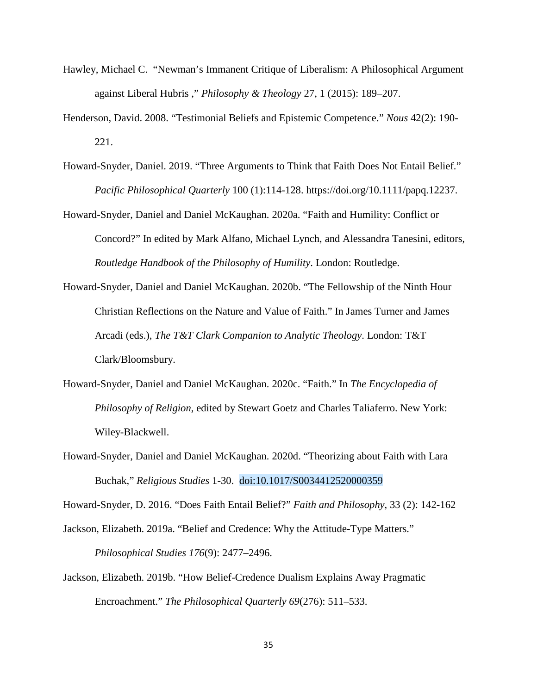- Hawley, Michael C. "Newman's Immanent Critique of Liberalism: A Philosophical Argument against Liberal Hubris ," *Philosophy & Theology* 27, 1 (2015): 189–207.
- Henderson, David. 2008. "Testimonial Beliefs and Epistemic Competence." *Nous* 42(2): 190- 221.
- Howard-Snyder, Daniel. 2019. "Three Arguments to Think that Faith Does Not Entail Belief." *Pacific Philosophical Quarterly* 100 (1):114-128. https://doi.org/10.1111/papq.12237.

Howard-Snyder, Daniel and Daniel McKaughan. 2020a. "Faith and Humility: Conflict or Concord?" In edited by Mark Alfano, Michael Lynch, and Alessandra Tanesini, editors, *Routledge Handbook of the Philosophy of Humility*. London: Routledge.

- Howard-Snyder, Daniel and Daniel McKaughan. 2020b. "The Fellowship of the Ninth Hour Christian Reflections on the Nature and Value of Faith." In James Turner and James Arcadi (eds.), *The T&T Clark Companion to Analytic Theology*. London: T&T Clark/Bloomsbury.
- Howard-Snyder, Daniel and Daniel McKaughan. 2020c. "Faith." In *The Encyclopedia of Philosophy of Religion*, edited by Stewart Goetz and Charles Taliaferro. New York: Wiley-Blackwell.
- Howard-Snyder, Daniel and Daniel McKaughan. 2020d. "Theorizing about Faith with Lara Buchak," *Religious Studies* 1-30. doi:10.1017/S0034412520000359

Howard-Snyder, D. 2016. "Does Faith Entail Belief?" *Faith and Philosophy*, 33 (2): 142-162

Jackson, Elizabeth. 2019a. "Belief and Credence: Why the Attitude-Type Matters."

*Philosophical Studies 176*(9): 2477–2496.

Jackson, Elizabeth. 2019b. "How Belief-Credence Dualism Explains Away Pragmatic Encroachment." *The Philosophical Quarterly 69*(276): 511–533.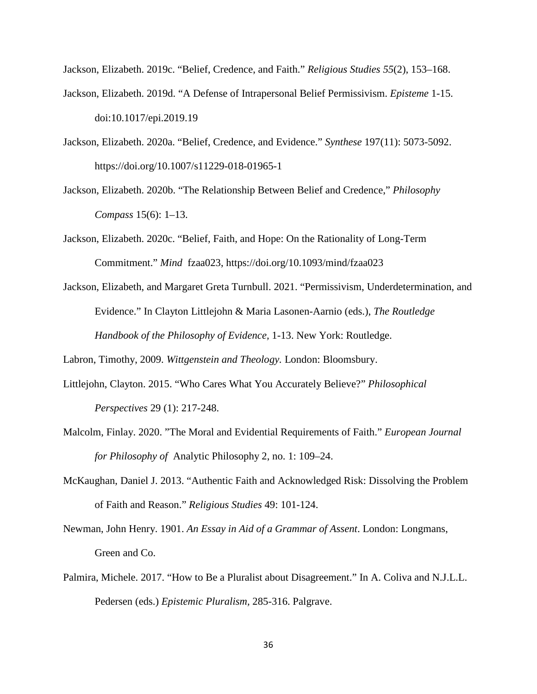Jackson, Elizabeth. 2019c. "Belief, Credence, and Faith." *Religious Studies 55*(2), 153–168.

- Jackson, Elizabeth. 2019d. "A Defense of Intrapersonal Belief Permissivism. *Episteme* 1-15. doi:10.1017/epi.2019.19
- Jackson, Elizabeth. 2020a. "Belief, Credence, and Evidence." *Synthese* 197(11): 5073-5092. https://doi.org/10.1007/s11229-018-01965-1
- Jackson, Elizabeth. 2020b. "The Relationship Between Belief and Credence," *Philosophy Compass* 15(6): 1–13.
- Jackson, Elizabeth. 2020c. "Belief, Faith, and Hope: On the Rationality of Long-Term Commitment." *Mind* fzaa023, https://doi.org/10.1093/mind/fzaa023
- Jackson, Elizabeth, and Margaret Greta Turnbull. 2021. "Permissivism, Underdetermination, and Evidence." In Clayton Littlejohn & Maria Lasonen-Aarnio (eds.), *The Routledge Handbook of the Philosophy of Evidence,* 1-13. New York: Routledge.

Labron, Timothy, 2009. *Wittgenstein and Theology.* London: Bloomsbury.

- Littlejohn, Clayton. 2015. "Who Cares What You Accurately Believe?" *Philosophical Perspectives* 29 (1): 217-248.
- Malcolm, Finlay. 2020. "The Moral and Evidential Requirements of Faith." *European Journal for Philosophy of* Analytic Philosophy 2, no. 1: 109–24.
- McKaughan, Daniel J. 2013. "Authentic Faith and Acknowledged Risk: Dissolving the Problem of Faith and Reason." *Religious Studies* 49: 101-124.
- Newman, John Henry. 1901. *An Essay in Aid of a Grammar of Assent*. London: Longmans, Green and Co.
- Palmira, Michele. 2017. "How to Be a Pluralist about Disagreement." In A. Coliva and N.J.L.L. Pedersen (eds.) *Epistemic Pluralism,* 285-316. Palgrave.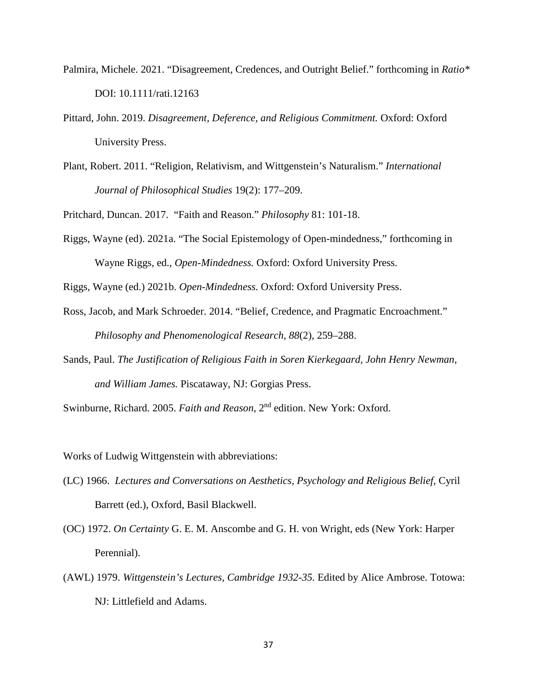- Palmira, Michele. 2021. "Disagreement, Credences, and Outright Belief." forthcoming in *Ratio\** DOI: 10.1111/rati.12163
- Pittard, John. 2019. *Disagreement, Deference, and Religious Commitment.* Oxford: Oxford University Press.
- Plant, Robert. 2011. "Religion, Relativism, and Wittgenstein's Naturalism." *International Journal of Philosophical Studies* 19(2): 177–209.

Pritchard, Duncan. 2017. "Faith and Reason." *Philosophy* 81: 101-18.

Riggs, Wayne (ed). 2021a. "The Social Epistemology of Open-mindedness," forthcoming in Wayne Riggs, ed., *Open-Mindedness.* Oxford: Oxford University Press.

Riggs, Wayne (ed.) 2021b. *Open-Mindedness.* Oxford: Oxford University Press.

- Ross, Jacob, and Mark Schroeder. 2014. "Belief, Credence, and Pragmatic Encroachment." *Philosophy and Phenomenological Research, 88*(2), 259–288.
- Sands, Paul. *The Justification of Religious Faith in Soren Kierkegaard, John Henry Newman, and William James.* Piscataway, NJ: Gorgias Press.

Swinburne, Richard. 2005. *Faith and Reason*, 2nd edition. New York: Oxford.

Works of Ludwig Wittgenstein with abbreviations:

- (LC) 1966. *Lectures and Conversations on Aesthetics, Psychology and Religious Belief*, Cyril Barrett (ed.), Oxford, Basil Blackwell.
- (OC) 1972. *On Certainty* G. E. M. Anscombe and G. H. von Wright, eds (New York: Harper Perennial).
- (AWL) 1979. *Wittgenstein's Lectures, Cambridge 1932-35.* Edited by Alice Ambrose. Totowa: NJ: Littlefield and Adams.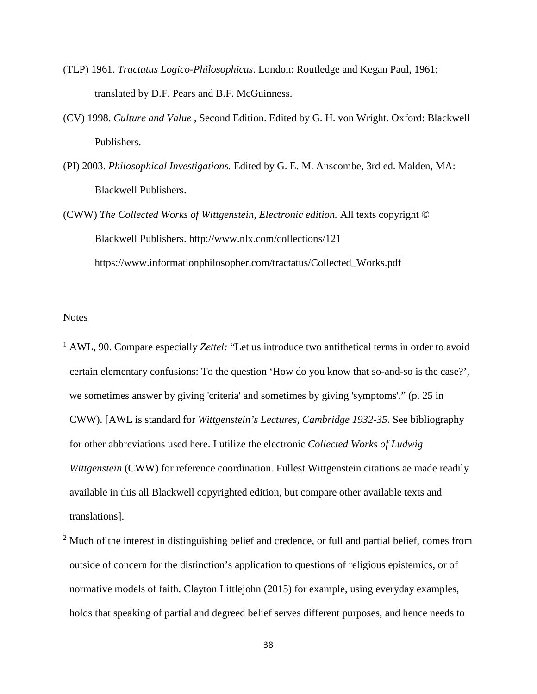- (TLP) 1961. *Tractatus Logico-Philosophicus*. London: Routledge and Kegan Paul, 1961; translated by D.F. Pears and B.F. McGuinness.
- (CV) 1998. *Culture and Value* , Second Edition. Edited by G. H. von Wright. Oxford: Blackwell Publishers.
- (PI) 2003. *Philosophical Investigations.* Edited by G. E. M. Anscombe, 3rd ed. Malden, MA: Blackwell Publishers.
- (CWW) *The Collected Works of Wittgenstein, Electronic edition.* All texts copyright © Blackwell Publishers. http://www.nlx.com/collections/121 https://www.informationphilosopher.com/tractatus/Collected\_Works.pdf

### **Notes**

l

<sup>1</sup> AWL, 90. Compare especially *Zettel:* "Let us introduce two antithetical terms in order to avoid certain elementary confusions: To the question 'How do you know that so-and-so is the case?', we sometimes answer by giving 'criteria' and sometimes by giving 'symptoms'." (p. 25 in CWW). [AWL is standard for *Wittgenstein's Lectures, Cambridge 1932-35*. See bibliography for other abbreviations used here. I utilize the electronic *Collected Works of Ludwig Wittgenstein* (CWW) for reference coordination. Fullest Wittgenstein citations ae made readily available in this all Blackwell copyrighted edition, but compare other available texts and translations].

<sup>2</sup> Much of the interest in distinguishing belief and credence, or full and partial belief, comes from outside of concern for the distinction's application to questions of religious epistemics, or of normative models of faith. Clayton Littlejohn (2015) for example, using everyday examples, holds that speaking of partial and degreed belief serves different purposes, and hence needs to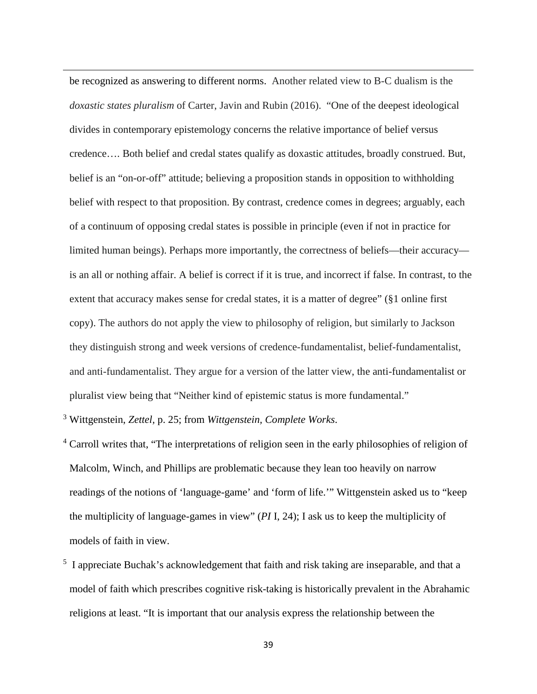be recognized as answering to different norms. Another related view to B-C dualism is the *doxastic states pluralism* of Carter, Javin and Rubin (2016). "One of the deepest ideological divides in contemporary epistemology concerns the relative importance of belief versus credence…. Both belief and credal states qualify as doxastic attitudes, broadly construed. But, belief is an "on-or-off" attitude; believing a proposition stands in opposition to withholding belief with respect to that proposition. By contrast, credence comes in degrees; arguably, each of a continuum of opposing credal states is possible in principle (even if not in practice for limited human beings). Perhaps more importantly, the correctness of beliefs—their accuracy is an all or nothing affair. A belief is correct if it is true, and incorrect if false. In contrast, to the extent that accuracy makes sense for credal states, it is a matter of degree" (§1 online first copy). The authors do not apply the view to philosophy of religion, but similarly to Jackson they distinguish strong and week versions of credence-fundamentalist, belief-fundamentalist, and anti-fundamentalist. They argue for a version of the latter view, the anti-fundamentalist or pluralist view being that "Neither kind of epistemic status is more fundamental."

<sup>3</sup> Wittgenstein, *Zettel,* p. 25; from *Wittgenstein, Complete Works*.

**.** 

- <sup>4</sup> Carroll writes that, "The interpretations of religion seen in the early philosophies of religion of Malcolm, Winch, and Phillips are problematic because they lean too heavily on narrow readings of the notions of 'language-game' and 'form of life.'" Wittgenstein asked us to "keep the multiplicity of language-games in view" (*PI* I, 24); I ask us to keep the multiplicity of models of faith in view.
- <sup>5</sup> I appreciate Buchak's acknowledgement that faith and risk taking are inseparable, and that a model of faith which prescribes cognitive risk-taking is historically prevalent in the Abrahamic religions at least. "It is important that our analysis express the relationship between the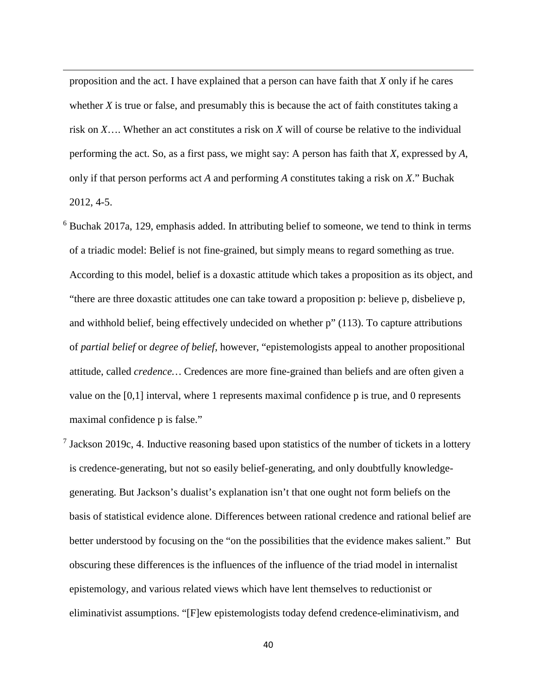proposition and the act. I have explained that a person can have faith that *X* only if he cares whether *X* is true or false, and presumably this is because the act of faith constitutes taking a risk on *X*…. Whether an act constitutes a risk on *X* will of course be relative to the individual performing the act. So, as a first pass, we might say: A person has faith that *X*, expressed by *A*, only if that person performs act *A* and performing *A* constitutes taking a risk on *X*." Buchak 2012, 4-5.

**.** 

- <sup>6</sup> Buchak 2017a, 129, emphasis added. In attributing belief to someone, we tend to think in terms of a triadic model: Belief is not fine-grained, but simply means to regard something as true. According to this model, belief is a doxastic attitude which takes a proposition as its object, and "there are three doxastic attitudes one can take toward a proposition p: believe p, disbelieve p, and withhold belief, being effectively undecided on whether p" (113). To capture attributions of *partial belief* or *degree of belief*, however, "epistemologists appeal to another propositional attitude, called *credence…* Credences are more fine-grained than beliefs and are often given a value on the [0,1] interval, where 1 represents maximal confidence p is true, and 0 represents maximal confidence p is false."
- <sup>7</sup> Jackson 2019c, 4. Inductive reasoning based upon statistics of the number of tickets in a lottery is credence-generating, but not so easily belief-generating, and only doubtfully knowledgegenerating. But Jackson's dualist's explanation isn't that one ought not form beliefs on the basis of statistical evidence alone. Differences between rational credence and rational belief are better understood by focusing on the "on the possibilities that the evidence makes salient." But obscuring these differences is the influences of the influence of the triad model in internalist epistemology, and various related views which have lent themselves to reductionist or eliminativist assumptions. "[F]ew epistemologists today defend credence-eliminativism, and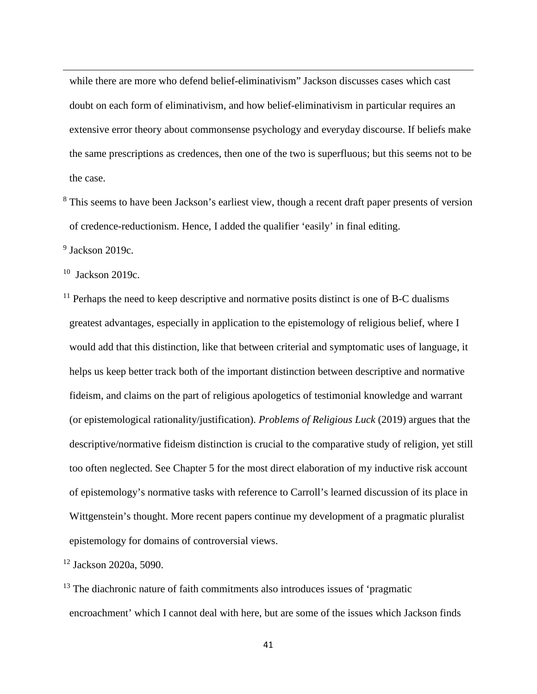while there are more who defend belief-eliminativism" Jackson discusses cases which cast doubt on each form of eliminativism, and how belief-eliminativism in particular requires an extensive error theory about commonsense psychology and everyday discourse. If beliefs make the same prescriptions as credences, then one of the two is superfluous; but this seems not to be the case.

<sup>8</sup> This seems to have been Jackson's earliest view, though a recent draft paper presents of version of credence-reductionism. Hence, I added the qualifier 'easily' in final editing.

 $9$  Jackson 2019c.

**.** 

 $10$  Jackson 2019c.

 $11$  Perhaps the need to keep descriptive and normative posits distinct is one of B-C dualisms greatest advantages, especially in application to the epistemology of religious belief, where I would add that this distinction, like that between criterial and symptomatic uses of language, it helps us keep better track both of the important distinction between descriptive and normative fideism, and claims on the part of religious apologetics of testimonial knowledge and warrant (or epistemological rationality/justification). *Problems of Religious Luck* (2019) argues that the descriptive/normative fideism distinction is crucial to the comparative study of religion, yet still too often neglected. See Chapter 5 for the most direct elaboration of my inductive risk account of epistemology's normative tasks with reference to Carroll's learned discussion of its place in Wittgenstein's thought. More recent papers continue my development of a pragmatic pluralist epistemology for domains of controversial views.

<sup>12</sup> Jackson 2020a, 5090.

<sup>13</sup> The diachronic nature of faith commitments also introduces issues of 'pragmatic encroachment' which I cannot deal with here, but are some of the issues which Jackson finds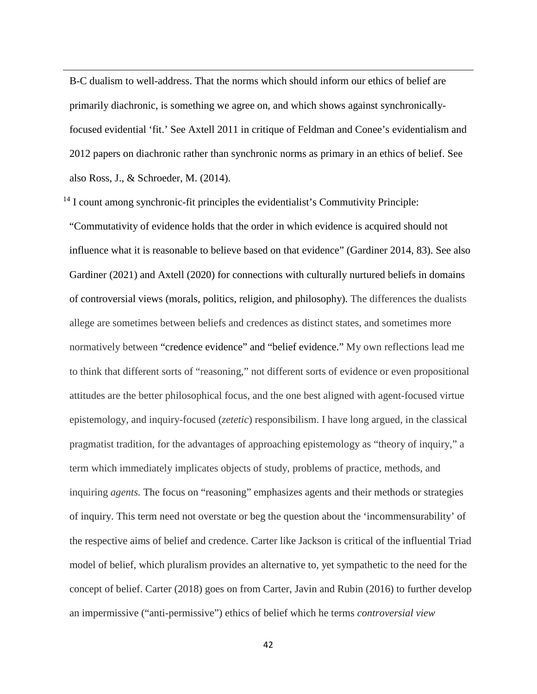B-C dualism to well-address. That the norms which should inform our ethics of belief are primarily diachronic, is something we agree on, and which shows against synchronicallyfocused evidential 'fit.' See Axtell 2011 in critique of Feldman and Conee's evidentialism and 2012 papers on diachronic rather than synchronic norms as primary in an ethics of belief. See also Ross, J., & Schroeder, M. (2014).

 $<sup>14</sup>$  I count among synchronic-fit principles the evidentialist's Commutivity Principle:</sup>

**.** 

"Commutativity of evidence holds that the order in which evidence is acquired should not influence what it is reasonable to believe based on that evidence" (Gardiner 2014, 83). See also Gardiner (2021) and Axtell (2020) for connections with culturally nurtured beliefs in domains of controversial views (morals, politics, religion, and philosophy). The differences the dualists allege are sometimes between beliefs and credences as distinct states, and sometimes more normatively between "credence evidence" and "belief evidence." My own reflections lead me to think that different sorts of "reasoning," not different sorts of evidence or even propositional attitudes are the better philosophical focus, and the one best aligned with agent-focused virtue epistemology, and inquiry-focused (*zetetic*) responsibilism. I have long argued, in the classical pragmatist tradition, for the advantages of approaching epistemology as "theory of inquiry," a term which immediately implicates objects of study, problems of practice, methods, and inquiring *agents.* The focus on "reasoning" emphasizes agents and their methods or strategies of inquiry. This term need not overstate or beg the question about the 'incommensurability' of the respective aims of belief and credence. Carter like Jackson is critical of the influential Triad model of belief, which pluralism provides an alternative to, yet sympathetic to the need for the concept of belief. Carter (2018) goes on from Carter, Javin and Rubin (2016) to further develop an impermissive ("anti-permissive") ethics of belief which he terms *controversial view*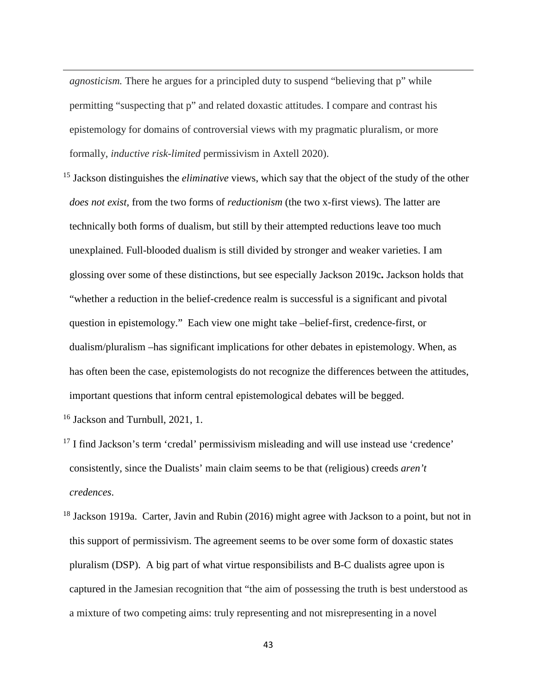*agnosticism.* There he argues for a principled duty to suspend "believing that p" while permitting "suspecting that p" and related doxastic attitudes. I compare and contrast his epistemology for domains of controversial views with my pragmatic pluralism, or more formally, *inductive risk-limited* permissivism in Axtell 2020).

<sup>15</sup> Jackson distinguishes the *eliminative* views, which say that the object of the study of the other *does not exist,* from the two forms of *reductionism* (the two x-first views). The latter are technically both forms of dualism, but still by their attempted reductions leave too much unexplained. Full-blooded dualism is still divided by stronger and weaker varieties. I am glossing over some of these distinctions, but see especially Jackson 2019c**.** Jackson holds that "whether a reduction in the belief-credence realm is successful is a significant and pivotal question in epistemology." Each view one might take –belief-first, credence-first, or dualism/pluralism –has significant implications for other debates in epistemology. When, as has often been the case, epistemologists do not recognize the differences between the attitudes, important questions that inform central epistemological debates will be begged.

<sup>16</sup> Jackson and Turnbull, 2021, 1.

**.** 

- $17$  I find Jackson's term 'credal' permissivism misleading and will use instead use 'credence' consistently, since the Dualists' main claim seems to be that (religious) creeds *aren't credences*.
- $18$  Jackson 1919a. Carter, Javin and Rubin (2016) might agree with Jackson to a point, but not in this support of permissivism. The agreement seems to be over some form of doxastic states pluralism (DSP). A big part of what virtue responsibilists and B-C dualists agree upon is captured in the Jamesian recognition that "the aim of possessing the truth is best understood as a mixture of two competing aims: truly representing and not misrepresenting in a novel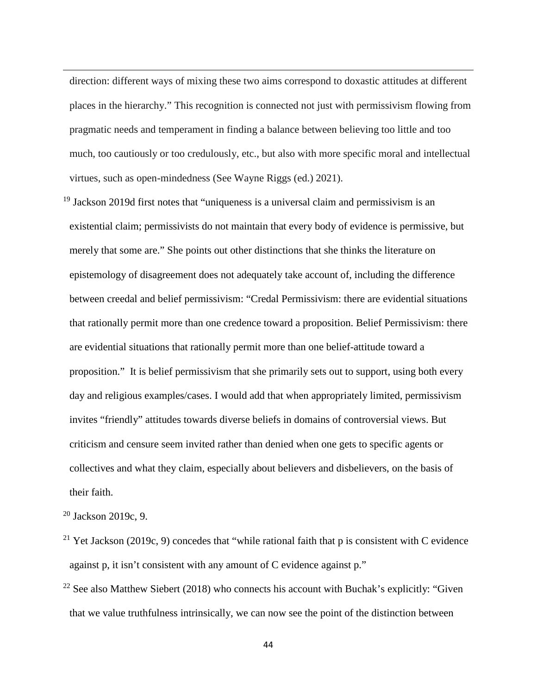direction: different ways of mixing these two aims correspond to doxastic attitudes at different places in the hierarchy." This recognition is connected not just with permissivism flowing from pragmatic needs and temperament in finding a balance between believing too little and too much, too cautiously or too credulously, etc., but also with more specific moral and intellectual virtues, such as open-mindedness (See Wayne Riggs (ed.) 2021).

 $19$  Jackson 2019d first notes that "uniqueness is a universal claim and permissivism is an existential claim; permissivists do not maintain that every body of evidence is permissive, but merely that some are." She points out other distinctions that she thinks the literature on epistemology of disagreement does not adequately take account of, including the difference between creedal and belief permissivism: "Credal Permissivism: there are evidential situations that rationally permit more than one credence toward a proposition. Belief Permissivism: there are evidential situations that rationally permit more than one belief-attitude toward a proposition." It is belief permissivism that she primarily sets out to support, using both every day and religious examples/cases. I would add that when appropriately limited, permissivism invites "friendly" attitudes towards diverse beliefs in domains of controversial views. But criticism and censure seem invited rather than denied when one gets to specific agents or collectives and what they claim, especially about believers and disbelievers, on the basis of their faith.

<sup>20</sup> Jackson 2019c, 9.

**.** 

- <sup>21</sup> Yet Jackson (2019c, 9) concedes that "while rational faith that p is consistent with C evidence against p, it isn't consistent with any amount of C evidence against p."
- $22$  See also Matthew Siebert (2018) who connects his account with Buchak's explicitly: "Given" that we value truthfulness intrinsically, we can now see the point of the distinction between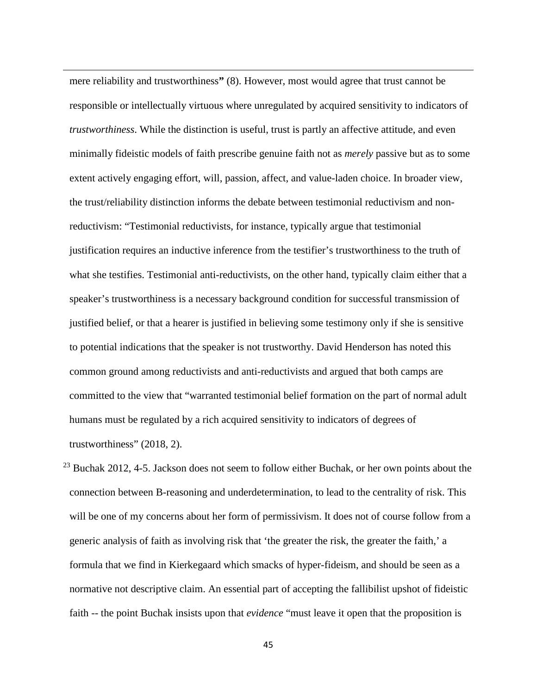mere reliability and trustworthiness**"** (8). However, most would agree that trust cannot be responsible or intellectually virtuous where unregulated by acquired sensitivity to indicators of *trustworthiness*. While the distinction is useful, trust is partly an affective attitude, and even minimally fideistic models of faith prescribe genuine faith not as *merely* passive but as to some extent actively engaging effort, will, passion, affect, and value-laden choice. In broader view, the trust/reliability distinction informs the debate between testimonial reductivism and nonreductivism: "Testimonial reductivists, for instance, typically argue that testimonial justification requires an inductive inference from the testifier's trustworthiness to the truth of what she testifies. Testimonial anti-reductivists, on the other hand, typically claim either that a speaker's trustworthiness is a necessary background condition for successful transmission of justified belief, or that a hearer is justified in believing some testimony only if she is sensitive to potential indications that the speaker is not trustworthy. David Henderson has noted this common ground among reductivists and anti-reductivists and argued that both camps are committed to the view that "warranted testimonial belief formation on the part of normal adult humans must be regulated by a rich acquired sensitivity to indicators of degrees of trustworthiness" (2018, 2).

**.** 

 $^{23}$  Buchak 2012, 4-5. Jackson does not seem to follow either Buchak, or her own points about the connection between B-reasoning and underdetermination, to lead to the centrality of risk. This will be one of my concerns about her form of permissivism. It does not of course follow from a generic analysis of faith as involving risk that 'the greater the risk, the greater the faith,' a formula that we find in Kierkegaard which smacks of hyper-fideism, and should be seen as a normative not descriptive claim. An essential part of accepting the fallibilist upshot of fideistic faith -- the point Buchak insists upon that *evidence* "must leave it open that the proposition is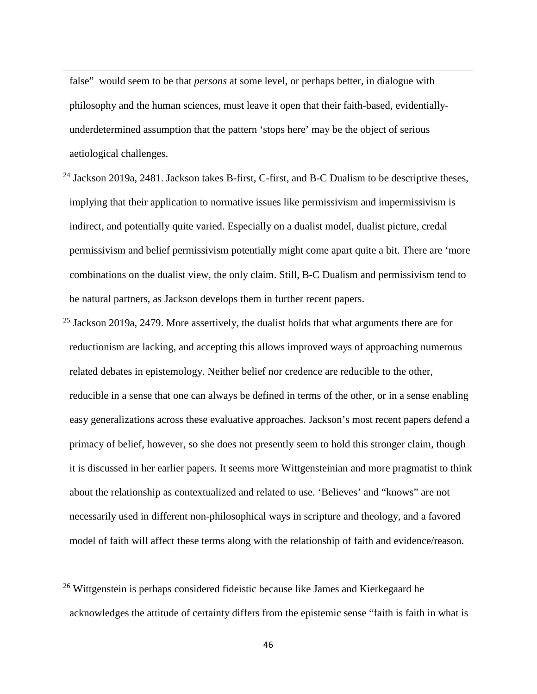false" would seem to be that *persons* at some level, or perhaps better, in dialogue with philosophy and the human sciences, must leave it open that their faith-based, evidentiallyunderdetermined assumption that the pattern 'stops here' may be the object of serious aetiological challenges.

**.** 

- <sup>24</sup> Jackson 2019a, 2481. Jackson takes B-first, C-first, and B-C Dualism to be descriptive theses, implying that their application to normative issues like permissivism and impermissivism is indirect, and potentially quite varied. Especially on a dualist model, dualist picture, credal permissivism and belief permissivism potentially might come apart quite a bit. There are 'more combinations on the dualist view, the only claim. Still, B-C Dualism and permissivism tend to be natural partners, as Jackson develops them in further recent papers.
- $25$  Jackson 2019a, 2479. More assertively, the dualist holds that what arguments there are for reductionism are lacking, and accepting this allows improved ways of approaching numerous related debates in epistemology. Neither belief nor credence are reducible to the other, reducible in a sense that one can always be defined in terms of the other, or in a sense enabling easy generalizations across these evaluative approaches. Jackson's most recent papers defend a primacy of belief, however, so she does not presently seem to hold this stronger claim, though it is discussed in her earlier papers. It seems more Wittgensteinian and more pragmatist to think about the relationship as contextualized and related to use. 'Believes' and "knows" are not necessarily used in different non-philosophical ways in scripture and theology, and a favored model of faith will affect these terms along with the relationship of faith and evidence/reason.
- <sup>26</sup> Wittgenstein is perhaps considered fideistic because like James and Kierkegaard he acknowledges the attitude of certainty differs from the epistemic sense "faith is faith in what is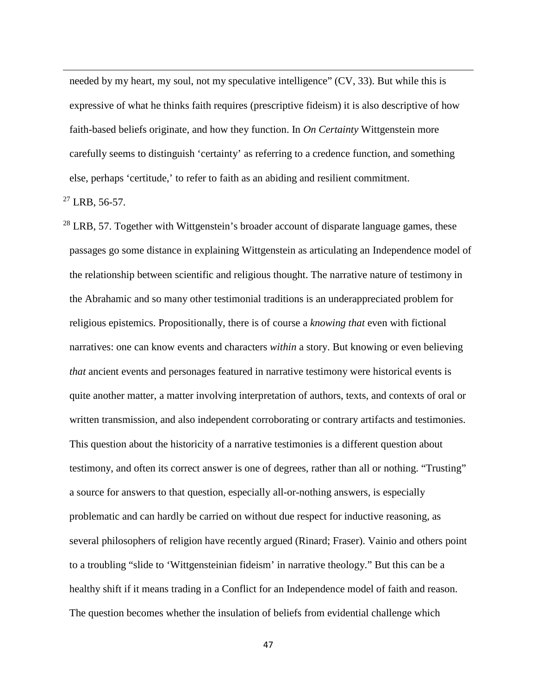needed by my heart, my soul, not my speculative intelligence" (CV, 33). But while this is expressive of what he thinks faith requires (prescriptive fideism) it is also descriptive of how faith-based beliefs originate, and how they function. In *On Certainty* Wittgenstein more carefully seems to distinguish 'certainty' as referring to a credence function, and something else, perhaps 'certitude,' to refer to faith as an abiding and resilient commitment.

 $^{27}$  LRB, 56-57.

**.** 

 $^{28}$  LRB, 57. Together with Wittgenstein's broader account of disparate language games, these passages go some distance in explaining Wittgenstein as articulating an Independence model of the relationship between scientific and religious thought. The narrative nature of testimony in the Abrahamic and so many other testimonial traditions is an underappreciated problem for religious epistemics. Propositionally, there is of course a *knowing that* even with fictional narratives: one can know events and characters *within* a story. But knowing or even believing *that* ancient events and personages featured in narrative testimony were historical events is quite another matter, a matter involving interpretation of authors, texts, and contexts of oral or written transmission, and also independent corroborating or contrary artifacts and testimonies. This question about the historicity of a narrative testimonies is a different question about testimony, and often its correct answer is one of degrees, rather than all or nothing. "Trusting" a source for answers to that question, especially all-or-nothing answers, is especially problematic and can hardly be carried on without due respect for inductive reasoning, as several philosophers of religion have recently argued (Rinard; Fraser). Vainio and others point to a troubling "slide to 'Wittgensteinian fideism' in narrative theology." But this can be a healthy shift if it means trading in a Conflict for an Independence model of faith and reason. The question becomes whether the insulation of beliefs from evidential challenge which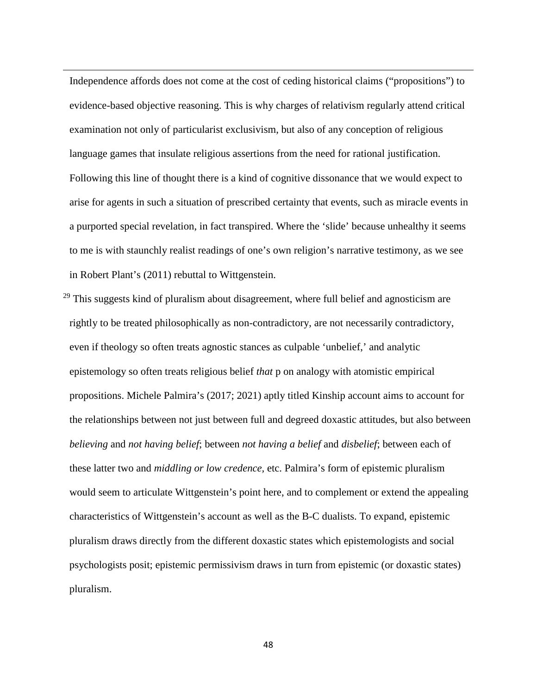Independence affords does not come at the cost of ceding historical claims ("propositions") to evidence-based objective reasoning. This is why charges of relativism regularly attend critical examination not only of particularist exclusivism, but also of any conception of religious language games that insulate religious assertions from the need for rational justification. Following this line of thought there is a kind of cognitive dissonance that we would expect to arise for agents in such a situation of prescribed certainty that events, such as miracle events in a purported special revelation, in fact transpired. Where the 'slide' because unhealthy it seems to me is with staunchly realist readings of one's own religion's narrative testimony, as we see in Robert Plant's (2011) rebuttal to Wittgenstein.

**.** 

 $29$  This suggests kind of pluralism about disagreement, where full belief and agnosticism are rightly to be treated philosophically as non-contradictory, are not necessarily contradictory, even if theology so often treats agnostic stances as culpable 'unbelief,' and analytic epistemology so often treats religious belief *that* p on analogy with atomistic empirical propositions. Michele Palmira's (2017; 2021) aptly titled Kinship account aims to account for the relationships between not just between full and degreed doxastic attitudes, but also between *believing* and *not having belief*; between *not having a belief* and *disbelief*; between each of these latter two and *middling or low credence,* etc. Palmira's form of epistemic pluralism would seem to articulate Wittgenstein's point here, and to complement or extend the appealing characteristics of Wittgenstein's account as well as the B-C dualists. To expand, epistemic pluralism draws directly from the different doxastic states which epistemologists and social psychologists posit; epistemic permissivism draws in turn from epistemic (or doxastic states) pluralism.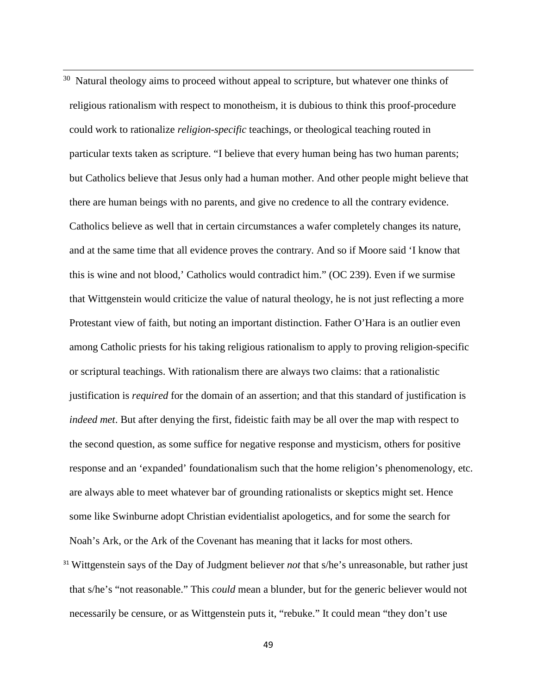$30$  Natural theology aims to proceed without appeal to scripture, but whatever one thinks of religious rationalism with respect to monotheism, it is dubious to think this proof-procedure could work to rationalize *religion-specific* teachings, or theological teaching routed in particular texts taken as scripture. "I believe that every human being has two human parents; but Catholics believe that Jesus only had a human mother. And other people might believe that there are human beings with no parents, and give no credence to all the contrary evidence. Catholics believe as well that in certain circumstances a wafer completely changes its nature, and at the same time that all evidence proves the contrary. And so if Moore said 'I know that this is wine and not blood,' Catholics would contradict him." (OC 239). Even if we surmise that Wittgenstein would criticize the value of natural theology, he is not just reflecting a more Protestant view of faith, but noting an important distinction. Father O'Hara is an outlier even among Catholic priests for his taking religious rationalism to apply to proving religion-specific or scriptural teachings. With rationalism there are always two claims: that a rationalistic justification is *required* for the domain of an assertion; and that this standard of justification is *indeed met*. But after denying the first, fideistic faith may be all over the map with respect to the second question, as some suffice for negative response and mysticism, others for positive response and an 'expanded' foundationalism such that the home religion's phenomenology, etc. are always able to meet whatever bar of grounding rationalists or skeptics might set. Hence some like Swinburne adopt Christian evidentialist apologetics, and for some the search for Noah's Ark, or the Ark of the Covenant has meaning that it lacks for most others.

**.** 

<sup>31</sup> Wittgenstein says of the Day of Judgment believer *not* that s/he's unreasonable, but rather just that s/he's "not reasonable." This *could* mean a blunder, but for the generic believer would not necessarily be censure, or as Wittgenstein puts it, "rebuke." It could mean "they don't use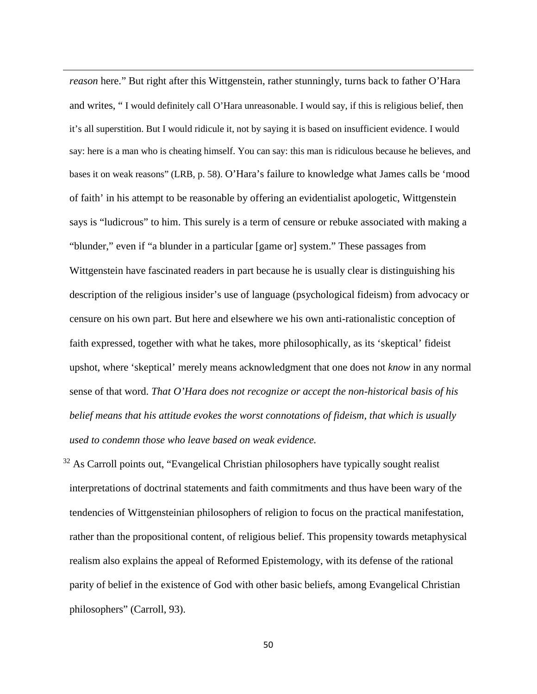*reason* here." But right after this Wittgenstein, rather stunningly, turns back to father O'Hara and writes, " I would definitely call O'Hara unreasonable. I would say, if this is religious belief, then it's all superstition. But I would ridicule it, not by saying it is based on insufficient evidence. I would say: here is a man who is cheating himself. You can say: this man is ridiculous because he believes, and bases it on weak reasons" (LRB, p. 58). O'Hara's failure to knowledge what James calls be 'mood of faith' in his attempt to be reasonable by offering an evidentialist apologetic, Wittgenstein says is "ludicrous" to him. This surely is a term of censure or rebuke associated with making a "blunder," even if "a blunder in a particular [game or] system." These passages from Wittgenstein have fascinated readers in part because he is usually clear is distinguishing his description of the religious insider's use of language (psychological fideism) from advocacy or censure on his own part. But here and elsewhere we his own anti-rationalistic conception of faith expressed, together with what he takes, more philosophically, as its 'skeptical' fideist upshot, where 'skeptical' merely means acknowledgment that one does not *know* in any normal sense of that word. *That O'Hara does not recognize or accept the non-historical basis of his belief means that his attitude evokes the worst connotations of fideism, that which is usually used to condemn those who leave based on weak evidence.*

**.** 

 $32$  As Carroll points out, "Evangelical Christian philosophers have typically sought realist interpretations of doctrinal statements and faith commitments and thus have been wary of the tendencies of Wittgensteinian philosophers of religion to focus on the practical manifestation, rather than the propositional content, of religious belief. This propensity towards metaphysical realism also explains the appeal of Reformed Epistemology, with its defense of the rational parity of belief in the existence of God with other basic beliefs, among Evangelical Christian philosophers" (Carroll, 93).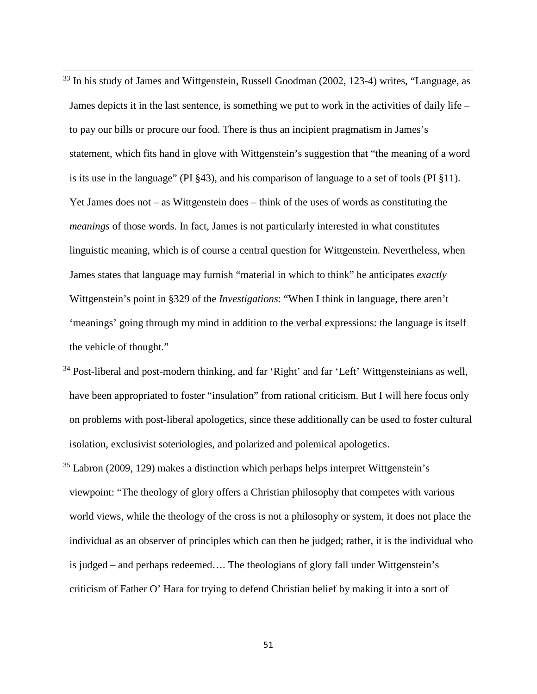<sup>33</sup> In his study of James and Wittgenstein, Russell Goodman (2002, 123-4) writes, "Language, as James depicts it in the last sentence, is something we put to work in the activities of daily life – to pay our bills or procure our food. There is thus an incipient pragmatism in James's statement, which fits hand in glove with Wittgenstein's suggestion that "the meaning of a word is its use in the language" (PI §43), and his comparison of language to a set of tools (PI §11). Yet James does not – as Wittgenstein does – think of the uses of words as constituting the *meanings* of those words. In fact, James is not particularly interested in what constitutes linguistic meaning, which is of course a central question for Wittgenstein. Nevertheless, when James states that language may furnish "material in which to think" he anticipates *exactly*  Wittgenstein's point in §329 of the *Investigations*: "When I think in language, there aren't 'meanings' going through my mind in addition to the verbal expressions: the language is itself the vehicle of thought."

**.** 

- $34$  Post-liberal and post-modern thinking, and far 'Right' and far 'Left' Wittgensteinians as well, have been appropriated to foster "insulation" from rational criticism. But I will here focus only on problems with post-liberal apologetics, since these additionally can be used to foster cultural isolation, exclusivist soteriologies, and polarized and polemical apologetics.
- $35$  Labron (2009, 129) makes a distinction which perhaps helps interpret Wittgenstein's viewpoint: "The theology of glory offers a Christian philosophy that competes with various world views, while the theology of the cross is not a philosophy or system, it does not place the individual as an observer of principles which can then be judged; rather, it is the individual who is judged – and perhaps redeemed…. The theologians of glory fall under Wittgenstein's criticism of Father O' Hara for trying to defend Christian belief by making it into a sort of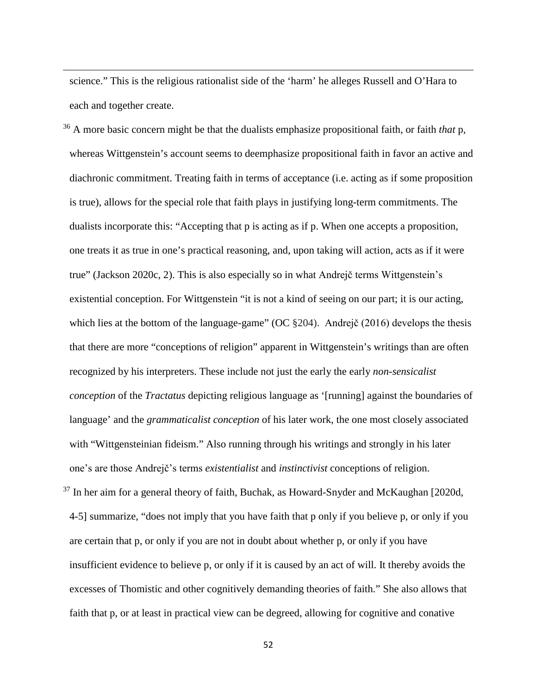science." This is the religious rationalist side of the 'harm' he alleges Russell and O'Hara to each and together create.

**.** 

<sup>36</sup> A more basic concern might be that the dualists emphasize propositional faith, or faith *that* p, whereas Wittgenstein's account seems to deemphasize propositional faith in favor an active and diachronic commitment. Treating faith in terms of acceptance (i.e. acting as if some proposition is true), allows for the special role that faith plays in justifying long-term commitments. The dualists incorporate this: "Accepting that p is acting as if p. When one accepts a proposition, one treats it as true in one's practical reasoning, and, upon taking will action, acts as if it were true" (Jackson 2020c, 2). This is also especially so in what Andrejč terms Wittgenstein's existential conception. For Wittgenstein "it is not a kind of seeing on our part; it is our acting, which lies at the bottom of the language-game" (OC  $\S 204$ ). Andrejč (2016) develops the thesis that there are more "conceptions of religion" apparent in Wittgenstein's writings than are often recognized by his interpreters. These include not just the early the early *non-sensicalist conception* of the *Tractatus* depicting religious language as '[running] against the boundaries of language' and the *grammaticalist conception* of his later work, the one most closely associated with "Wittgensteinian fideism." Also running through his writings and strongly in his later one's are those Andrejč's terms *existentialist* and *instinctivist* conceptions of religion.

<sup>37</sup> In her aim for a general theory of faith, Buchak, as Howard-Snyder and McKaughan [2020d, 4-5] summarize, "does not imply that you have faith that p only if you believe p, or only if you are certain that p, or only if you are not in doubt about whether p, or only if you have insufficient evidence to believe p, or only if it is caused by an act of will. It thereby avoids the excesses of Thomistic and other cognitively demanding theories of faith." She also allows that faith that p, or at least in practical view can be degreed, allowing for cognitive and conative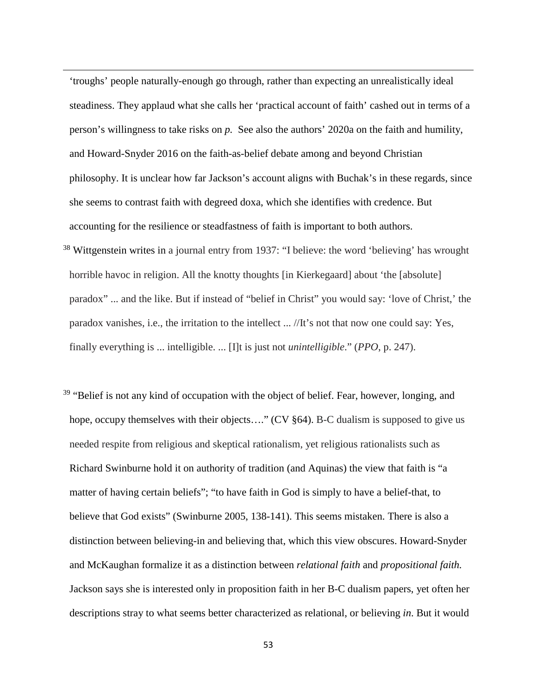'troughs' people naturally-enough go through, rather than expecting an unrealistically ideal steadiness. They applaud what she calls her 'practical account of faith' cashed out in terms of a person's willingness to take risks on *p.* See also the authors' 2020a on the faith and humility, and Howard-Snyder 2016 on the faith-as-belief debate among and beyond Christian philosophy. It is unclear how far Jackson's account aligns with Buchak's in these regards, since she seems to contrast faith with degreed doxa, which she identifies with credence. But accounting for the resilience or steadfastness of faith is important to both authors. <sup>38</sup> Wittgenstein writes in a journal entry from 1937: "I believe: the word 'believing' has wrought horrible havoc in religion. All the knotty thoughts [in Kierkegaard] about 'the [absolute] paradox" ... and the like. But if instead of "belief in Christ" you would say: 'love of Christ,' the paradox vanishes, i.e., the irritation to the intellect ... //It's not that now one could say: Yes, finally everything is ... intelligible. ... [I]t is just not *unintelligible*." (*PPO*, p. 247).

**.** 

<sup>39</sup> "Belief is not any kind of occupation with the object of belief. Fear, however, longing, and hope, occupy themselves with their objects...." (CV §64). B-C dualism is supposed to give us needed respite from religious and skeptical rationalism, yet religious rationalists such as Richard Swinburne hold it on authority of tradition (and Aquinas) the view that faith is "a matter of having certain beliefs"; "to have faith in God is simply to have a belief-that, to believe that God exists" (Swinburne 2005, 138-141). This seems mistaken. There is also a distinction between believing-in and believing that, which this view obscures. Howard-Snyder and McKaughan formalize it as a distinction between *relational faith* and *propositional faith.*  Jackson says she is interested only in proposition faith in her B-C dualism papers, yet often her descriptions stray to what seems better characterized as relational, or believing *in*. But it would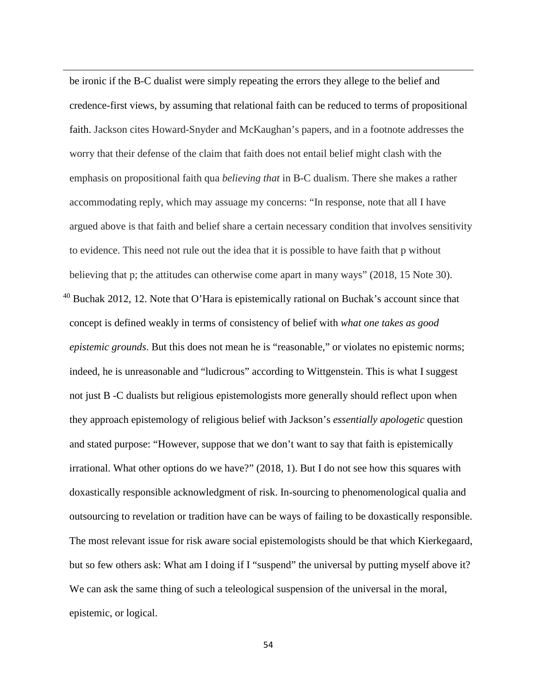be ironic if the B-C dualist were simply repeating the errors they allege to the belief and credence-first views, by assuming that relational faith can be reduced to terms of propositional faith. Jackson cites Howard-Snyder and McKaughan's papers, and in a footnote addresses the worry that their defense of the claim that faith does not entail belief might clash with the emphasis on propositional faith qua *believing that* in B-C dualism. There she makes a rather accommodating reply, which may assuage my concerns: "In response, note that all I have argued above is that faith and belief share a certain necessary condition that involves sensitivity to evidence. This need not rule out the idea that it is possible to have faith that p without believing that p; the attitudes can otherwise come apart in many ways" (2018, 15 Note 30).  $40$  Buchak 2012, 12. Note that O'Hara is epistemically rational on Buchak's account since that concept is defined weakly in terms of consistency of belief with *what one takes as good epistemic grounds*. But this does not mean he is "reasonable," or violates no epistemic norms; indeed, he is unreasonable and "ludicrous" according to Wittgenstein. This is what I suggest not just B -C dualists but religious epistemologists more generally should reflect upon when they approach epistemology of religious belief with Jackson's *essentially apologetic* question and stated purpose: "However, suppose that we don't want to say that faith is epistemically irrational. What other options do we have?" (2018, 1). But I do not see how this squares with doxastically responsible acknowledgment of risk. In-sourcing to phenomenological qualia and outsourcing to revelation or tradition have can be ways of failing to be doxastically responsible. The most relevant issue for risk aware social epistemologists should be that which Kierkegaard, but so few others ask: What am I doing if I "suspend" the universal by putting myself above it? We can ask the same thing of such a teleological suspension of the universal in the moral, epistemic, or logical.

**.**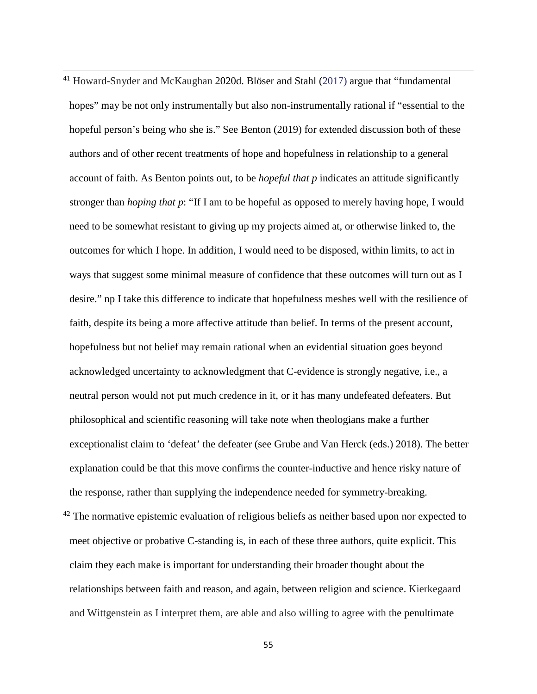<sup>41</sup> Howard-Snyder and McKaughan 2020d. Blöser and Stahl (2017) argue that "fundamental hopes" may be not only instrumentally but also non-instrumentally rational if "essential to the hopeful person's being who she is." See Benton (2019) for extended discussion both of these authors and of other recent treatments of hope and hopefulness in relationship to a general account of faith. As Benton points out, to be *hopeful that p* indicates an attitude significantly stronger than *hoping that p*: "If I am to be hopeful as opposed to merely having hope, I would need to be somewhat resistant to giving up my projects aimed at, or otherwise linked to, the outcomes for which I hope. In addition, I would need to be disposed, within limits, to act in ways that suggest some minimal measure of confidence that these outcomes will turn out as I desire." np I take this difference to indicate that hopefulness meshes well with the resilience of faith, despite its being a more affective attitude than belief. In terms of the present account, hopefulness but not belief may remain rational when an evidential situation goes beyond acknowledged uncertainty to acknowledgment that C-evidence is strongly negative, i.e., a neutral person would not put much credence in it, or it has many undefeated defeaters. But philosophical and scientific reasoning will take note when theologians make a further exceptionalist claim to 'defeat' the defeater (see Grube and Van Herck (eds.) 2018). The better explanation could be that this move confirms the counter-inductive and hence risky nature of the response, rather than supplying the independence needed for symmetry-breaking.

**.** 

 $42$  The normative epistemic evaluation of religious beliefs as neither based upon nor expected to meet objective or probative C-standing is, in each of these three authors, quite explicit. This claim they each make is important for understanding their broader thought about the relationships between faith and reason, and again, between religion and science. Kierkegaard and Wittgenstein as I interpret them, are able and also willing to agree with the penultimate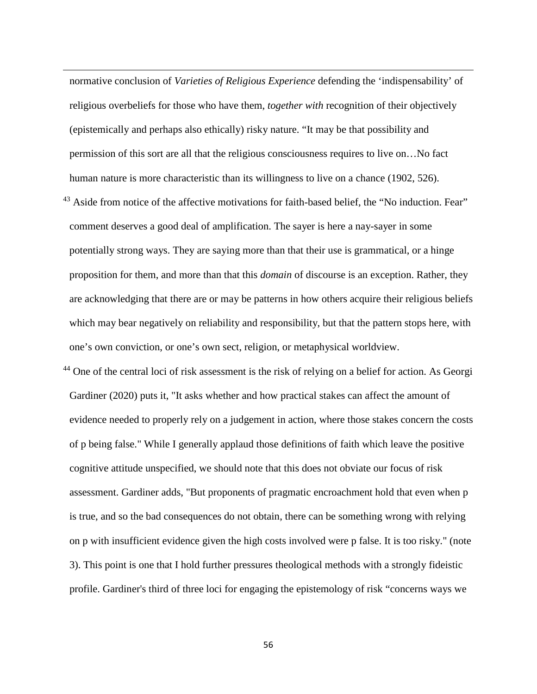normative conclusion of *Varieties of Religious Experience* defending the 'indispensability' of religious overbeliefs for those who have them, *together with* recognition of their objectively (epistemically and perhaps also ethically) risky nature. "It may be that possibility and permission of this sort are all that the religious consciousness requires to live on…No fact human nature is more characteristic than its willingness to live on a chance (1902, 526).

**.** 

<sup>43</sup> Aside from notice of the affective motivations for faith-based belief, the "No induction. Fear" comment deserves a good deal of amplification. The sayer is here a nay-sayer in some potentially strong ways. They are saying more than that their use is grammatical, or a hinge proposition for them, and more than that this *domain* of discourse is an exception. Rather, they are acknowledging that there are or may be patterns in how others acquire their religious beliefs which may bear negatively on reliability and responsibility, but that the pattern stops here, with one's own conviction, or one's own sect, religion, or metaphysical worldview.

<sup>44</sup> One of the central loci of risk assessment is the risk of relying on a belief for action. As Georgi Gardiner (2020) puts it, "It asks whether and how practical stakes can affect the amount of evidence needed to properly rely on a judgement in action, where those stakes concern the costs of p being false." While I generally applaud those definitions of faith which leave the positive cognitive attitude unspecified, we should note that this does not obviate our focus of risk assessment. Gardiner adds, "But proponents of pragmatic encroachment hold that even when p is true, and so the bad consequences do not obtain, there can be something wrong with relying on p with insufficient evidence given the high costs involved were p false. It is too risky." (note 3). This point is one that I hold further pressures theological methods with a strongly fideistic profile. Gardiner's third of three loci for engaging the epistemology of risk "concerns ways we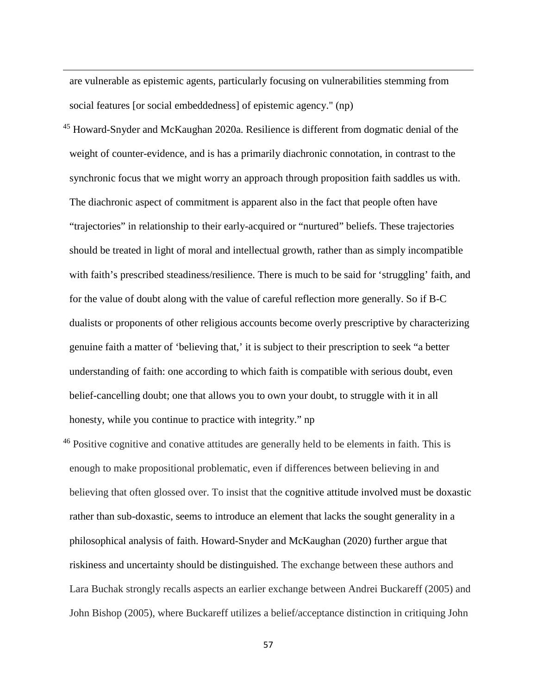are vulnerable as epistemic agents, particularly focusing on vulnerabilities stemming from social features [or social embeddedness] of epistemic agency." (np)

**.** 

<sup>45</sup> Howard-Snyder and McKaughan 2020a. Resilience is different from dogmatic denial of the weight of counter-evidence, and is has a primarily diachronic connotation, in contrast to the synchronic focus that we might worry an approach through proposition faith saddles us with. The diachronic aspect of commitment is apparent also in the fact that people often have "trajectories" in relationship to their early-acquired or "nurtured" beliefs. These trajectories should be treated in light of moral and intellectual growth, rather than as simply incompatible with faith's prescribed steadiness/resilience. There is much to be said for 'struggling' faith, and for the value of doubt along with the value of careful reflection more generally. So if B-C dualists or proponents of other religious accounts become overly prescriptive by characterizing genuine faith a matter of 'believing that,' it is subject to their prescription to seek "a better understanding of faith: one according to which faith is compatible with serious doubt, even belief-cancelling doubt; one that allows you to own your doubt, to struggle with it in all honesty, while you continue to practice with integrity." np

<sup>46</sup> Positive cognitive and conative attitudes are generally held to be elements in faith. This is enough to make propositional problematic, even if differences between believing in and believing that often glossed over. To insist that the cognitive attitude involved must be doxastic rather than sub-doxastic, seems to introduce an element that lacks the sought generality in a philosophical analysis of faith. Howard-Snyder and McKaughan (2020) further argue that riskiness and uncertainty should be distinguished. The exchange between these authors and Lara Buchak strongly recalls aspects an earlier exchange between Andrei Buckareff (2005) and John Bishop (2005), where Buckareff utilizes a belief/acceptance distinction in critiquing John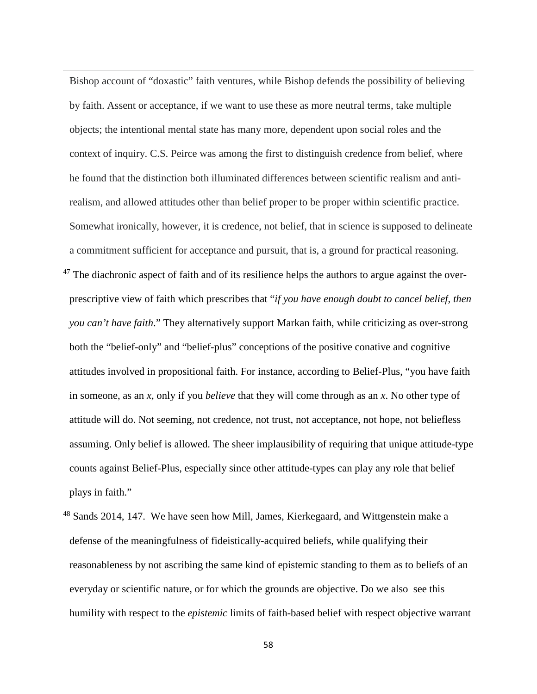Bishop account of "doxastic" faith ventures, while Bishop defends the possibility of believing by faith. Assent or acceptance, if we want to use these as more neutral terms, take multiple objects; the intentional mental state has many more, dependent upon social roles and the context of inquiry. C.S. Peirce was among the first to distinguish credence from belief, where he found that the distinction both illuminated differences between scientific realism and antirealism, and allowed attitudes other than belief proper to be proper within scientific practice. Somewhat ironically, however, it is credence, not belief, that in science is supposed to delineate a commitment sufficient for acceptance and pursuit, that is, a ground for practical reasoning.  $47$  The diachronic aspect of faith and of its resilience helps the authors to argue against the overprescriptive view of faith which prescribes that "*if you have enough doubt to cancel belief, then you can't have faith*." They alternatively support Markan faith, while criticizing as over-strong both the "belief-only" and "belief-plus" conceptions of the positive conative and cognitive attitudes involved in propositional faith. For instance, according to Belief-Plus, "you have faith in someone, as an *x*, only if you *believe* that they will come through as an *x*. No other type of attitude will do. Not seeming, not credence, not trust, not acceptance, not hope, not beliefless assuming. Only belief is allowed. The sheer implausibility of requiring that unique attitude-type counts against Belief-Plus, especially since other attitude-types can play any role that belief plays in faith."

**.** 

<sup>48</sup> Sands 2014, 147. We have seen how Mill, James, Kierkegaard, and Wittgenstein make a defense of the meaningfulness of fideistically-acquired beliefs, while qualifying their reasonableness by not ascribing the same kind of epistemic standing to them as to beliefs of an everyday or scientific nature, or for which the grounds are objective. Do we also see this humility with respect to the *epistemic* limits of faith-based belief with respect objective warrant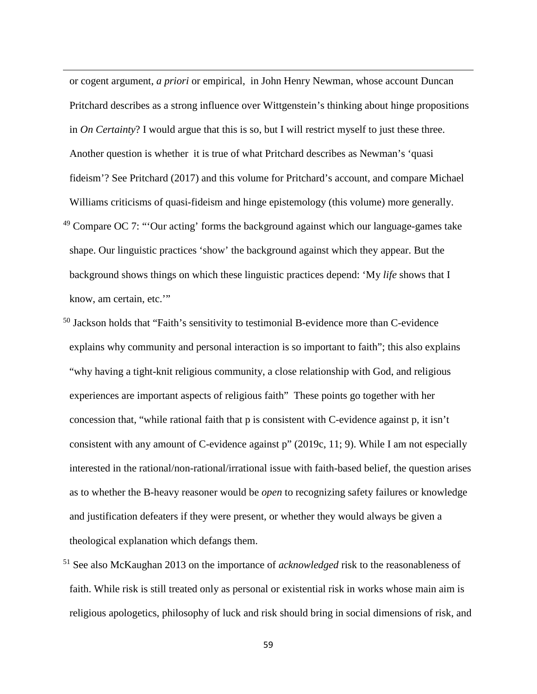or cogent argument, *a priori* or empirical, in John Henry Newman, whose account Duncan Pritchard describes as a strong influence over Wittgenstein's thinking about hinge propositions in *On Certainty*? I would argue that this is so, but I will restrict myself to just these three. Another question is whether it is true of what Pritchard describes as Newman's 'quasi fideism'? See Pritchard (2017) and this volume for Pritchard's account, and compare Michael Williams criticisms of quasi-fideism and hinge epistemology (this volume) more generally.

**.** 

- $49$  Compare OC 7: "Our acting' forms the background against which our language-games take shape. Our linguistic practices 'show' the background against which they appear. But the background shows things on which these linguistic practices depend: 'My *life* shows that I know, am certain, etc.'"
- <sup>50</sup> Jackson holds that "Faith's sensitivity to testimonial B-evidence more than C-evidence explains why community and personal interaction is so important to faith"; this also explains "why having a tight-knit religious community, a close relationship with God, and religious experiences are important aspects of religious faith" These points go together with her concession that, "while rational faith that p is consistent with C-evidence against p, it isn't consistent with any amount of C-evidence against p" (2019c, 11; 9). While I am not especially interested in the rational/non-rational/irrational issue with faith-based belief, the question arises as to whether the B-heavy reasoner would be *open* to recognizing safety failures or knowledge and justification defeaters if they were present, or whether they would always be given a theological explanation which defangs them.
- <sup>51</sup> See also McKaughan 2013 on the importance of *acknowledged* risk to the reasonableness of faith. While risk is still treated only as personal or existential risk in works whose main aim is religious apologetics, philosophy of luck and risk should bring in social dimensions of risk, and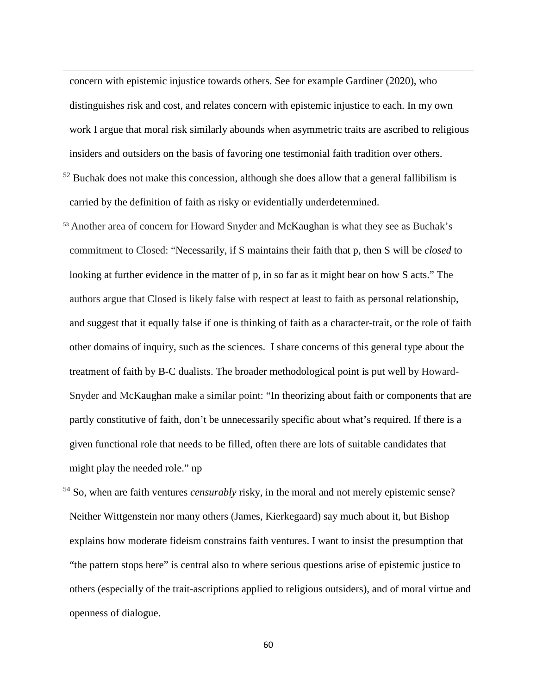concern with epistemic injustice towards others. See for example Gardiner (2020), who distinguishes risk and cost, and relates concern with epistemic injustice to each. In my own work I argue that moral risk similarly abounds when asymmetric traits are ascribed to religious insiders and outsiders on the basis of favoring one testimonial faith tradition over others.

**.** 

- $52$  Buchak does not make this concession, although she does allow that a general fallibilism is carried by the definition of faith as risky or evidentially underdetermined.
- <sup>53</sup> Another area of concern for Howard Snyder and McKaughan is what they see as Buchak's commitment to Closed: "Necessarily, if S maintains their faith that p, then S will be *closed* to looking at further evidence in the matter of p, in so far as it might bear on how S acts." The authors argue that Closed is likely false with respect at least to faith as personal relationship, and suggest that it equally false if one is thinking of faith as a character-trait, or the role of faith other domains of inquiry, such as the sciences. I share concerns of this general type about the treatment of faith by B-C dualists. The broader methodological point is put well by Howard-Snyder and McKaughan make a similar point: "In theorizing about faith or components that are partly constitutive of faith, don't be unnecessarily specific about what's required. If there is a given functional role that needs to be filled, often there are lots of suitable candidates that might play the needed role." np
- <sup>54</sup> So, when are faith ventures *censurably* risky, in the moral and not merely epistemic sense? Neither Wittgenstein nor many others (James, Kierkegaard) say much about it, but Bishop explains how moderate fideism constrains faith ventures. I want to insist the presumption that "the pattern stops here" is central also to where serious questions arise of epistemic justice to others (especially of the trait-ascriptions applied to religious outsiders), and of moral virtue and openness of dialogue.